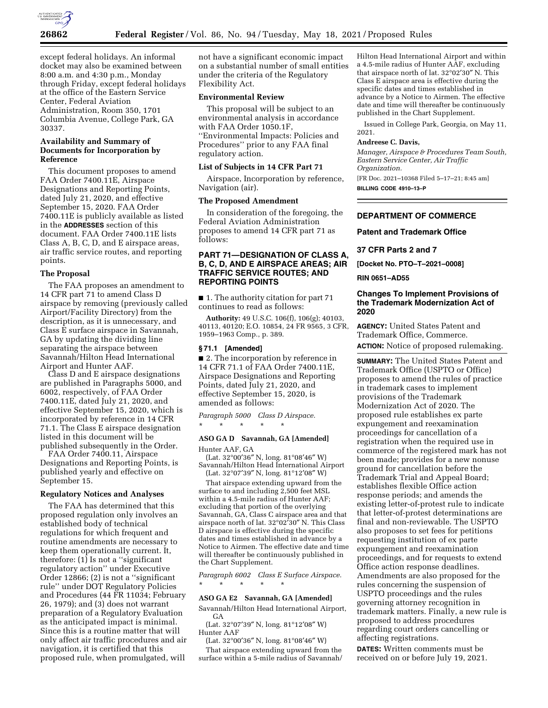

except federal holidays. An informal docket may also be examined between 8:00 a.m. and 4:30 p.m., Monday through Friday, except federal holidays at the office of the Eastern Service Center, Federal Aviation Administration, Room 350, 1701 Columbia Avenue, College Park, GA 30337.

## **Availability and Summary of Documents for Incorporation by Reference**

This document proposes to amend FAA Order 7400.11E, Airspace Designations and Reporting Points, dated July 21, 2020, and effective September 15, 2020. FAA Order 7400.11E is publicly available as listed in the **ADDRESSES** section of this document. FAA Order 7400.11E lists Class A, B, C, D, and E airspace areas, air traffic service routes, and reporting points.

# **The Proposal**

The FAA proposes an amendment to 14 CFR part 71 to amend Class D airspace by removing (previously called Airport/Facility Directory) from the description, as it is unnecessary, and Class E surface airspace in Savannah, GA by updating the dividing line separating the airspace between Savannah/Hilton Head International Airport and Hunter AAF.

Class D and E airspace designations are published in Paragraphs 5000, and 6002, respectively, of FAA Order 7400.11E, dated July 21, 2020, and effective September 15, 2020, which is incorporated by reference in 14 CFR 71.1. The Class E airspace designation listed in this document will be published subsequently in the Order.

FAA Order 7400.11, Airspace Designations and Reporting Points, is published yearly and effective on September 15.

#### **Regulatory Notices and Analyses**

The FAA has determined that this proposed regulation only involves an established body of technical regulations for which frequent and routine amendments are necessary to keep them operationally current. It, therefore: (1) Is not a ''significant regulatory action'' under Executive Order 12866; (2) is not a ''significant rule'' under DOT Regulatory Policies and Procedures (44 FR 11034; February 26, 1979); and (3) does not warrant preparation of a Regulatory Evaluation as the anticipated impact is minimal. Since this is a routine matter that will only affect air traffic procedures and air navigation, it is certified that this proposed rule, when promulgated, will

not have a significant economic impact on a substantial number of small entities under the criteria of the Regulatory Flexibility Act.

# **Environmental Review**

This proposal will be subject to an environmental analysis in accordance with FAA Order 1050.1F, ''Environmental Impacts: Policies and Procedures'' prior to any FAA final regulatory action.

#### **List of Subjects in 14 CFR Part 71**

Airspace, Incorporation by reference, Navigation (air).

#### **The Proposed Amendment**

In consideration of the foregoing, the Federal Aviation Administration proposes to amend 14 CFR part 71 as follows:

# **PART 71—DESIGNATION OF CLASS A, B, C, D, AND E AIRSPACE AREAS; AIR TRAFFIC SERVICE ROUTES; AND REPORTING POINTS**

■ 1. The authority citation for part 71 continues to read as follows:

**Authority:** 49 U.S.C. 106(f), 106(g); 40103, 40113, 40120; E.O. 10854, 24 FR 9565, 3 CFR, 1959–1963 Comp., p. 389.

#### **§ 71.1 [Amended]**

■ 2. The incorporation by reference in 14 CFR 71.1 of FAA Order 7400.11E, Airspace Designations and Reporting Points, dated July 21, 2020, and effective September 15, 2020, is amended as follows:

*Paragraph 5000 Class D Airspace.*  \* \* \* \* \*

**ASO GA D Savannah, GA [Amended]**  Hunter AAF, GA

(Lat. 32°00′36″ N, long. 81°08′46″ W) Savannah/Hilton Head International Airport (Lat. 32°07′39″ N, long. 81°12′08″ W)

That airspace extending upward from the surface to and including 2,500 feet MSL within a 4.5-mile radius of Hunter AAF; excluding that portion of the overlying Savannah, GA, Class C airspace area and that airspace north of lat. 32°02′30″ N. This Class D airspace is effective during the specific dates and times established in advance by a Notice to Airmen. The effective date and time will thereafter be continuously published in the Chart Supplement.

*Paragraph 6002 Class E Surface Airspace.*  \* \* \* \* \*

## **ASO GA E2 Savannah, GA [Amended]**

Savannah/Hilton Head International Airport, **GA** 

(Lat. 32°07′39″ N, long. 81°12′08″ W) Hunter AAF

(Lat. 32°00′36″ N, long. 81°08′46″ W)

That airspace extending upward from the surface within a 5-mile radius of Savannah/

Hilton Head International Airport and within a 4.5-mile radius of Hunter AAF, excluding that airspace north of lat. 32°02′30″ N. This Class E airspace area is effective during the specific dates and times established in advance by a Notice to Airmen. The effective date and time will thereafter be continuously published in the Chart Supplement.

Issued in College Park, Georgia, on May 11, 2021.

#### **Andreese C. Davis,**

*Manager, Airspace & Procedures Team South, Eastern Service Center, Air Traffic Organization.*  [FR Doc. 2021–10368 Filed 5–17–21; 8:45 am]

**BILLING CODE 4910–13–P** 

# **DEPARTMENT OF COMMERCE**

#### **Patent and Trademark Office**

**37 CFR Parts 2 and 7** 

**[Docket No. PTO–T–2021–0008]** 

**RIN 0651–AD55** 

## **Changes To Implement Provisions of the Trademark Modernization Act of 2020**

**AGENCY:** United States Patent and Trademark Office, Commerce. **ACTION:** Notice of proposed rulemaking.

**SUMMARY:** The United States Patent and Trademark Office (USPTO or Office) proposes to amend the rules of practice in trademark cases to implement provisions of the Trademark Modernization Act of 2020. The proposed rule establishes ex parte expungement and reexamination proceedings for cancellation of a registration when the required use in commerce of the registered mark has not been made; provides for a new nonuse ground for cancellation before the Trademark Trial and Appeal Board; establishes flexible Office action response periods; and amends the existing letter-of-protest rule to indicate that letter-of-protest determinations are final and non-reviewable. The USPTO also proposes to set fees for petitions requesting institution of ex parte expungement and reexamination proceedings, and for requests to extend Office action response deadlines. Amendments are also proposed for the rules concerning the suspension of USPTO proceedings and the rules governing attorney recognition in trademark matters. Finally, a new rule is proposed to address procedures regarding court orders cancelling or affecting registrations.

**DATES:** Written comments must be received on or before July 19, 2021.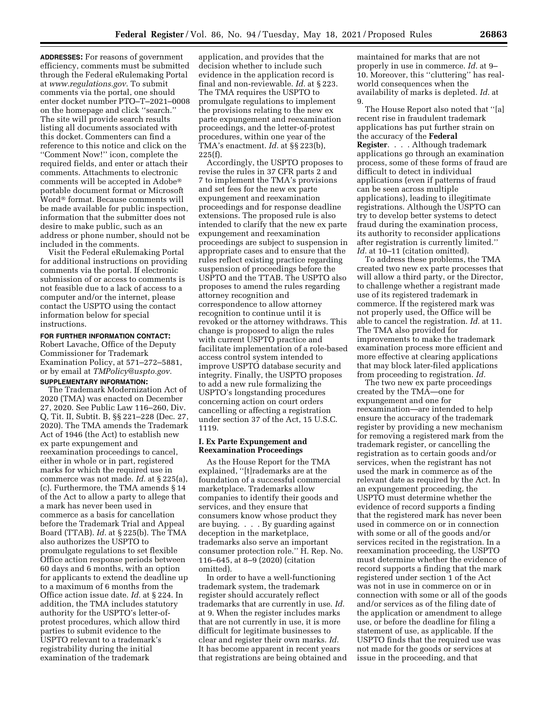**ADDRESSES:** For reasons of government efficiency, comments must be submitted through the Federal eRulemaking Portal at *[www.regulations.gov.](http://www.regulations.gov)* To submit comments via the portal, one should enter docket number PTO–T–2021–0008 on the homepage and click ''search.'' The site will provide search results listing all documents associated with this docket. Commenters can find a reference to this notice and click on the ''Comment Now!'' icon, complete the required fields, and enter or attach their comments. Attachments to electronic comments will be accepted in Adobe® portable document format or Microsoft Word® format. Because comments will be made available for public inspection, information that the submitter does not desire to make public, such as an address or phone number, should not be included in the comments.

Visit the Federal eRulemaking Portal for additional instructions on providing comments via the portal. If electronic submission of or access to comments is not feasible due to a lack of access to a computer and/or the internet, please contact the USPTO using the contact information below for special instructions.

#### **FOR FURTHER INFORMATION CONTACT:**

Robert Lavache, Office of the Deputy Commissioner for Trademark Examination Policy, at 571–272–5881, or by email at *[TMPolicy@uspto.gov.](mailto:TMPolicy@uspto.gov)* 

# **SUPPLEMENTARY INFORMATION:**

The Trademark Modernization Act of 2020 (TMA) was enacted on December 27, 2020. See Public Law 116–260, Div. Q, Tit. II, Subtit. B, §§ 221–228 (Dec. 27, 2020). The TMA amends the Trademark Act of 1946 (the Act) to establish new ex parte expungement and reexamination proceedings to cancel, either in whole or in part, registered marks for which the required use in commerce was not made. *Id.* at § 225(a), (c). Furthermore, the TMA amends § 14 of the Act to allow a party to allege that a mark has never been used in commerce as a basis for cancellation before the Trademark Trial and Appeal Board (TTAB). *Id.* at § 225(b). The TMA also authorizes the USPTO to promulgate regulations to set flexible Office action response periods between 60 days and 6 months, with an option for applicants to extend the deadline up to a maximum of 6 months from the Office action issue date. *Id.* at § 224. In addition, the TMA includes statutory authority for the USPTO's letter-ofprotest procedures, which allow third parties to submit evidence to the USPTO relevant to a trademark's registrability during the initial examination of the trademark

application, and provides that the decision whether to include such evidence in the application record is final and non-reviewable. *Id.* at § 223. The TMA requires the USPTO to promulgate regulations to implement the provisions relating to the new ex parte expungement and reexamination proceedings, and the letter-of-protest procedures, within one year of the TMA's enactment. *Id.* at §§ 223(b), 225(f).

Accordingly, the USPTO proposes to revise the rules in 37 CFR parts 2 and 7 to implement the TMA's provisions and set fees for the new ex parte expungement and reexamination proceedings and for response deadline extensions. The proposed rule is also intended to clarify that the new ex parte expungement and reexamination proceedings are subject to suspension in appropriate cases and to ensure that the rules reflect existing practice regarding suspension of proceedings before the USPTO and the TTAB. The USPTO also proposes to amend the rules regarding attorney recognition and correspondence to allow attorney recognition to continue until it is revoked or the attorney withdraws. This change is proposed to align the rules with current USPTO practice and facilitate implementation of a role-based access control system intended to improve USPTO database security and integrity. Finally, the USPTO proposes to add a new rule formalizing the USPTO's longstanding procedures concerning action on court orders cancelling or affecting a registration under section 37 of the Act, 15 U.S.C. 1119.

### **I. Ex Parte Expungement and Reexamination Proceedings**

As the House Report for the TMA explained, ''[t]rademarks are at the foundation of a successful commercial marketplace. Trademarks allow companies to identify their goods and services, and they ensure that consumers know whose product they are buying. . . . By guarding against deception in the marketplace, trademarks also serve an important consumer protection role.'' H. Rep. No. 116–645, at 8–9 (2020) (citation omitted).

In order to have a well-functioning trademark system, the trademark register should accurately reflect trademarks that are currently in use. *Id.*  at 9. When the register includes marks that are not currently in use, it is more difficult for legitimate businesses to clear and register their own marks. *Id.*  It has become apparent in recent years that registrations are being obtained and maintained for marks that are not properly in use in commerce. *Id.* at 9– 10. Moreover, this ''cluttering'' has realworld consequences when the availability of marks is depleted. *Id.* at 9.

The House Report also noted that ''[a] recent rise in fraudulent trademark applications has put further strain on the accuracy of the **Federal Register**. . . . Although trademark applications go through an examination process, some of these forms of fraud are difficult to detect in individual applications (even if patterns of fraud can be seen across multiple applications), leading to illegitimate registrations. Although the USPTO can try to develop better systems to detect fraud during the examination process, its authority to reconsider applications after registration is currently limited.'' *Id.* at 10–11 (citation omitted).

To address these problems, the TMA created two new ex parte processes that will allow a third party, or the Director, to challenge whether a registrant made use of its registered trademark in commerce. If the registered mark was not properly used, the Office will be able to cancel the registration. *Id.* at 11. The TMA also provided for improvements to make the trademark examination process more efficient and more effective at clearing applications that may block later-filed applications from proceeding to registration. *Id.* 

The two new ex parte proceedings created by the TMA—one for expungement and one for reexamination—are intended to help ensure the accuracy of the trademark register by providing a new mechanism for removing a registered mark from the trademark register, or cancelling the registration as to certain goods and/or services, when the registrant has not used the mark in commerce as of the relevant date as required by the Act. In an expungement proceeding, the USPTO must determine whether the evidence of record supports a finding that the registered mark has never been used in commerce on or in connection with some or all of the goods and/or services recited in the registration. In a reexamination proceeding, the USPTO must determine whether the evidence of record supports a finding that the mark registered under section 1 of the Act was not in use in commerce on or in connection with some or all of the goods and/or services as of the filing date of the application or amendment to allege use, or before the deadline for filing a statement of use, as applicable. If the USPTO finds that the required use was not made for the goods or services at issue in the proceeding, and that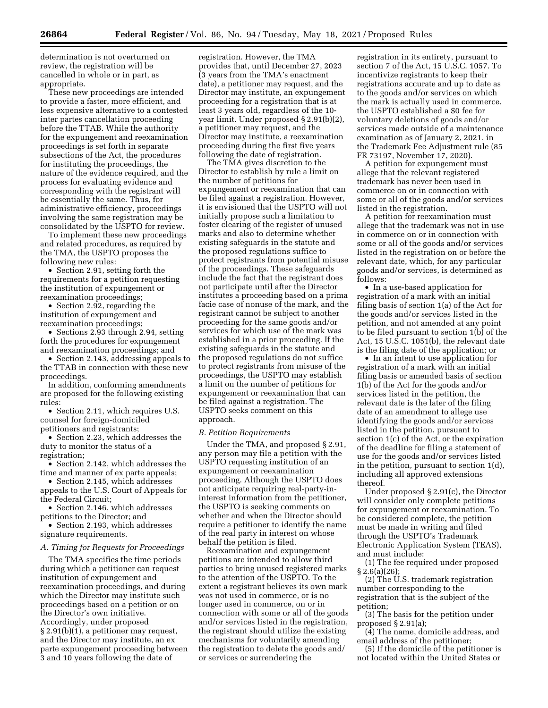determination is not overturned on review, the registration will be cancelled in whole or in part, as appropriate.

These new proceedings are intended to provide a faster, more efficient, and less expensive alternative to a contested inter partes cancellation proceeding before the TTAB. While the authority for the expungement and reexamination proceedings is set forth in separate subsections of the Act, the procedures for instituting the proceedings, the nature of the evidence required, and the process for evaluating evidence and corresponding with the registrant will be essentially the same. Thus, for administrative efficiency, proceedings involving the same registration may be consolidated by the USPTO for review.

To implement these new proceedings and related procedures, as required by the TMA, the USPTO proposes the following new rules:

• Section 2.91, setting forth the requirements for a petition requesting the institution of expungement or reexamination proceedings;

• Section 2.92, regarding the institution of expungement and reexamination proceedings;

• Sections 2.93 through 2.94, setting forth the procedures for expungement and reexamination proceedings; and

• Section 2.143, addressing appeals to the TTAB in connection with these new proceedings.

In addition, conforming amendments are proposed for the following existing rules:

• Section 2.11, which requires U.S. counsel for foreign-domiciled petitioners and registrants;

• Section 2.23, which addresses the duty to monitor the status of a registration;

• Section 2.142, which addresses the time and manner of ex parte appeals;

• Section 2.145, which addresses appeals to the U.S. Court of Appeals for the Federal Circuit;

• Section 2.146, which addresses petitions to the Director; and

• Section 2.193, which addresses signature requirements.

### *A. Timing for Requests for Proceedings*

The TMA specifies the time periods during which a petitioner can request institution of expungement and reexamination proceedings, and during which the Director may institute such proceedings based on a petition or on the Director's own initiative. Accordingly, under proposed § 2.91(b)(1), a petitioner may request, and the Director may institute, an ex parte expungement proceeding between 3 and 10 years following the date of

registration. However, the TMA provides that, until December 27, 2023 (3 years from the TMA's enactment date), a petitioner may request, and the Director may institute, an expungement proceeding for a registration that is at least 3 years old, regardless of the 10 year limit. Under proposed § 2.91(b)(2), a petitioner may request, and the Director may institute, a reexamination proceeding during the first five years following the date of registration.

The TMA gives discretion to the Director to establish by rule a limit on the number of petitions for expungement or reexamination that can be filed against a registration. However, it is envisioned that the USPTO will not initially propose such a limitation to foster clearing of the register of unused marks and also to determine whether existing safeguards in the statute and the proposed regulations suffice to protect registrants from potential misuse of the proceedings. These safeguards include the fact that the registrant does not participate until after the Director institutes a proceeding based on a prima facie case of nonuse of the mark, and the registrant cannot be subject to another proceeding for the same goods and/or services for which use of the mark was established in a prior proceeding. If the existing safeguards in the statute and the proposed regulations do not suffice to protect registrants from misuse of the proceedings, the USPTO may establish a limit on the number of petitions for expungement or reexamination that can be filed against a registration. The USPTO seeks comment on this approach.

### *B. Petition Requirements*

Under the TMA, and proposed § 2.91, any person may file a petition with the USPTO requesting institution of an expungement or reexamination proceeding. Although the USPTO does not anticipate requiring real-party-ininterest information from the petitioner, the USPTO is seeking comments on whether and when the Director should require a petitioner to identify the name of the real party in interest on whose behalf the petition is filed.

Reexamination and expungement petitions are intended to allow third parties to bring unused registered marks to the attention of the USPTO. To the extent a registrant believes its own mark was not used in commerce, or is no longer used in commerce, on or in connection with some or all of the goods and/or services listed in the registration, the registrant should utilize the existing mechanisms for voluntarily amending the registration to delete the goods and/ or services or surrendering the

registration in its entirety, pursuant to section 7 of the Act, 15 U.S.C. 1057. To incentivize registrants to keep their registrations accurate and up to date as to the goods and/or services on which the mark is actually used in commerce, the USPTO established a \$0 fee for voluntary deletions of goods and/or services made outside of a maintenance examination as of January 2, 2021, in the Trademark Fee Adjustment rule (85 FR 73197, November 17, 2020).

A petition for expungement must allege that the relevant registered trademark has never been used in commerce on or in connection with some or all of the goods and/or services listed in the registration.

A petition for reexamination must allege that the trademark was not in use in commerce on or in connection with some or all of the goods and/or services listed in the registration on or before the relevant date, which, for any particular goods and/or services, is determined as follows:

• In a use-based application for registration of a mark with an initial filing basis of section 1(a) of the Act for the goods and/or services listed in the petition, and not amended at any point to be filed pursuant to section 1(b) of the Act, 15 U.S.C. 1051(b), the relevant date is the filing date of the application; or

• In an intent to use application for registration of a mark with an initial filing basis or amended basis of section 1(b) of the Act for the goods and/or services listed in the petition, the relevant date is the later of the filing date of an amendment to allege use identifying the goods and/or services listed in the petition, pursuant to section 1(c) of the Act, or the expiration of the deadline for filing a statement of use for the goods and/or services listed in the petition, pursuant to section 1(d), including all approved extensions thereof.

Under proposed § 2.91(c), the Director will consider only complete petitions for expungement or reexamination. To be considered complete, the petition must be made in writing and filed through the USPTO's Trademark Electronic Application System (TEAS), and must include:

(1) The fee required under proposed § 2.6(a)(26);

(2) The U.S. trademark registration number corresponding to the registration that is the subject of the petition;

(3) The basis for the petition under proposed § 2.91(a);

(4) The name, domicile address, and email address of the petitioner;

(5) If the domicile of the petitioner is not located within the United States or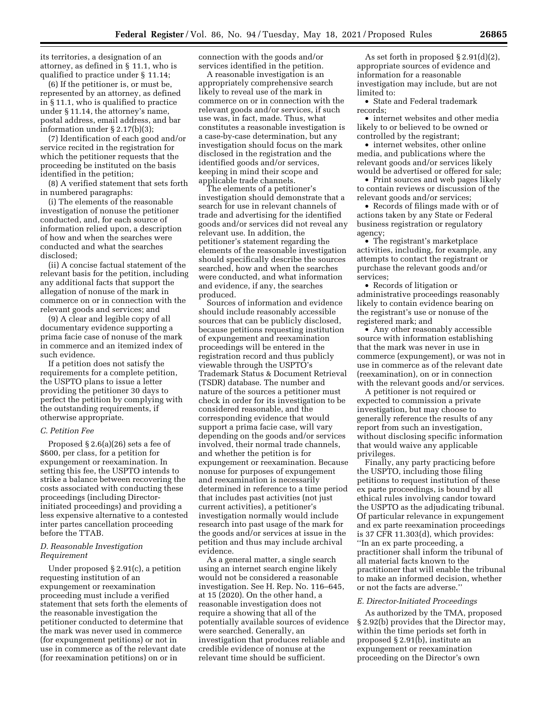its territories, a designation of an attorney, as defined in § 11.1, who is qualified to practice under § 11.14;

(6) If the petitioner is, or must be, represented by an attorney, as defined in § 11.1, who is qualified to practice under § 11.14, the attorney's name, postal address, email address, and bar information under § 2.17(b)(3);

(7) Identification of each good and/or service recited in the registration for which the petitioner requests that the proceeding be instituted on the basis identified in the petition;

(8) A verified statement that sets forth in numbered paragraphs:

(i) The elements of the reasonable investigation of nonuse the petitioner conducted, and, for each source of information relied upon, a description of how and when the searches were conducted and what the searches disclosed;

(ii) A concise factual statement of the relevant basis for the petition, including any additional facts that support the allegation of nonuse of the mark in commerce on or in connection with the relevant goods and services; and

(9) A clear and legible copy of all documentary evidence supporting a prima facie case of nonuse of the mark in commerce and an itemized index of such evidence.

If a petition does not satisfy the requirements for a complete petition, the USPTO plans to issue a letter providing the petitioner 30 days to perfect the petition by complying with the outstanding requirements, if otherwise appropriate.

### *C. Petition Fee*

Proposed § 2.6(a)(26) sets a fee of \$600, per class, for a petition for expungement or reexamination. In setting this fee, the USPTO intends to strike a balance between recovering the costs associated with conducting these proceedings (including Directorinitiated proceedings) and providing a less expensive alternative to a contested inter partes cancellation proceeding before the TTAB.

### *D. Reasonable Investigation Requirement*

Under proposed § 2.91(c), a petition requesting institution of an expungement or reexamination proceeding must include a verified statement that sets forth the elements of the reasonable investigation the petitioner conducted to determine that the mark was never used in commerce (for expungement petitions) or not in use in commerce as of the relevant date (for reexamination petitions) on or in

connection with the goods and/or services identified in the petition.

A reasonable investigation is an appropriately comprehensive search likely to reveal use of the mark in commerce on or in connection with the relevant goods and/or services, if such use was, in fact, made. Thus, what constitutes a reasonable investigation is a case-by-case determination, but any investigation should focus on the mark disclosed in the registration and the identified goods and/or services, keeping in mind their scope and applicable trade channels.

The elements of a petitioner's investigation should demonstrate that a search for use in relevant channels of trade and advertising for the identified goods and/or services did not reveal any relevant use. In addition, the petitioner's statement regarding the elements of the reasonable investigation should specifically describe the sources searched, how and when the searches were conducted, and what information and evidence, if any, the searches produced.

Sources of information and evidence should include reasonably accessible sources that can be publicly disclosed, because petitions requesting institution of expungement and reexamination proceedings will be entered in the registration record and thus publicly viewable through the USPTO's Trademark Status & Document Retrieval (TSDR) database. The number and nature of the sources a petitioner must check in order for its investigation to be considered reasonable, and the corresponding evidence that would support a prima facie case, will vary depending on the goods and/or services involved, their normal trade channels, and whether the petition is for expungement or reexamination. Because nonuse for purposes of expungement and reexamination is necessarily determined in reference to a time period that includes past activities (not just current activities), a petitioner's investigation normally would include research into past usage of the mark for the goods and/or services at issue in the petition and thus may include archival evidence.

As a general matter, a single search using an internet search engine likely would not be considered a reasonable investigation. See H. Rep. No. 116–645, at 15 (2020). On the other hand, a reasonable investigation does not require a showing that all of the potentially available sources of evidence were searched. Generally, an investigation that produces reliable and credible evidence of nonuse at the relevant time should be sufficient.

As set forth in proposed § 2.91(d)(2), appropriate sources of evidence and information for a reasonable investigation may include, but are not limited to:

• State and Federal trademark records;

• internet websites and other media likely to or believed to be owned or controlled by the registrant;

• internet websites, other online media, and publications where the relevant goods and/or services likely would be advertised or offered for sale;

• Print sources and web pages likely to contain reviews or discussion of the relevant goods and/or services;

• Records of filings made with or of actions taken by any State or Federal business registration or regulatory agency;

• The registrant's marketplace activities, including, for example, any attempts to contact the registrant or purchase the relevant goods and/or services;

• Records of litigation or administrative proceedings reasonably likely to contain evidence bearing on the registrant's use or nonuse of the registered mark; and

• Any other reasonably accessible source with information establishing that the mark was never in use in commerce (expungement), or was not in use in commerce as of the relevant date (reexamination), on or in connection with the relevant goods and/or services.

A petitioner is not required or expected to commission a private investigation, but may choose to generally reference the results of any report from such an investigation, without disclosing specific information that would waive any applicable privileges.

Finally, any party practicing before the USPTO, including those filing petitions to request institution of these ex parte proceedings, is bound by all ethical rules involving candor toward the USPTO as the adjudicating tribunal. Of particular relevance in expungement and ex parte reexamination proceedings is 37 CFR 11.303(d), which provides: ''In an ex parte proceeding, a practitioner shall inform the tribunal of all material facts known to the practitioner that will enable the tribunal to make an informed decision, whether or not the facts are adverse.''

#### *E. Director-Initiated Proceedings*

As authorized by the TMA, proposed § 2.92(b) provides that the Director may, within the time periods set forth in proposed § 2.91(b), institute an expungement or reexamination proceeding on the Director's own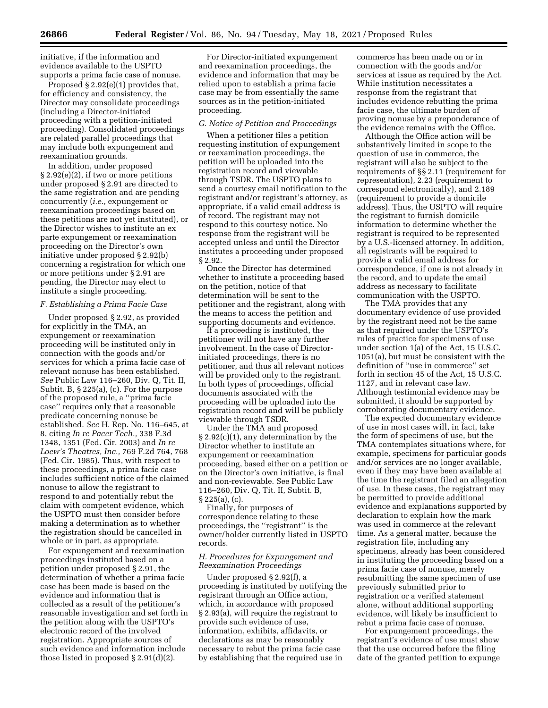initiative, if the information and evidence available to the USPTO supports a prima facie case of nonuse.

Proposed § 2.92(e)(1) provides that, for efficiency and consistency, the Director may consolidate proceedings (including a Director-initiated proceeding with a petition-initiated proceeding). Consolidated proceedings are related parallel proceedings that may include both expungement and reexamination grounds.

In addition, under proposed § 2.92(e)(2), if two or more petitions under proposed § 2.91 are directed to the same registration and are pending concurrently (*i.e.,* expungement or reexamination proceedings based on these petitions are not yet instituted), or the Director wishes to institute an ex parte expungement or reexamination proceeding on the Director's own initiative under proposed § 2.92(b) concerning a registration for which one or more petitions under § 2.91 are pending, the Director may elect to institute a single proceeding.

### *F. Establishing a Prima Facie Case*

Under proposed § 2.92, as provided for explicitly in the TMA, an expungement or reexamination proceeding will be instituted only in connection with the goods and/or services for which a prima facie case of relevant nonuse has been established. *See* Public Law 116–260, Div. Q, Tit. II, Subtit. B, § 225(a), (c). For the purpose of the proposed rule, a ''prima facie case'' requires only that a reasonable predicate concerning nonuse be established. *See* H. Rep. No. 116–645, at 8, citing *In re Pacer Tech.,* 338 F.3d 1348, 1351 (Fed. Cir. 2003) and *In re Loew's Theatres, Inc.,* 769 F.2d 764, 768 (Fed. Cir. 1985). Thus, with respect to these proceedings, a prima facie case includes sufficient notice of the claimed nonuse to allow the registrant to respond to and potentially rebut the claim with competent evidence, which the USPTO must then consider before making a determination as to whether the registration should be cancelled in whole or in part, as appropriate.

For expungement and reexamination proceedings instituted based on a petition under proposed § 2.91, the determination of whether a prima facie case has been made is based on the evidence and information that is collected as a result of the petitioner's reasonable investigation and set forth in the petition along with the USPTO's electronic record of the involved registration. Appropriate sources of such evidence and information include those listed in proposed § 2.91(d)(2).

For Director-initiated expungement and reexamination proceedings, the evidence and information that may be relied upon to establish a prima facie case may be from essentially the same sources as in the petition-initiated proceeding.

### *G. Notice of Petition and Proceedings*

When a petitioner files a petition requesting institution of expungement or reexamination proceedings, the petition will be uploaded into the registration record and viewable through TSDR. The USPTO plans to send a courtesy email notification to the registrant and/or registrant's attorney, as appropriate, if a valid email address is of record. The registrant may not respond to this courtesy notice. No response from the registrant will be accepted unless and until the Director institutes a proceeding under proposed § 2.92.

Once the Director has determined whether to institute a proceeding based on the petition, notice of that determination will be sent to the petitioner and the registrant, along with the means to access the petition and supporting documents and evidence.

If a proceeding is instituted, the petitioner will not have any further involvement. In the case of Directorinitiated proceedings, there is no petitioner, and thus all relevant notices will be provided only to the registrant. In both types of proceedings, official documents associated with the proceeding will be uploaded into the registration record and will be publicly viewable through TSDR.

Under the TMA and proposed § 2.92(c)(1), any determination by the Director whether to institute an expungement or reexamination proceeding, based either on a petition or on the Director's own initiative, is final and non-reviewable. See Public Law 116–260, Div. Q, Tit. II, Subtit. B, § 225(a), (c).

Finally, for purposes of correspondence relating to these proceedings, the ''registrant'' is the owner/holder currently listed in USPTO records.

### *H. Procedures for Expungement and Reexamination Proceedings*

Under proposed § 2.92(f), a proceeding is instituted by notifying the registrant through an Office action, which, in accordance with proposed § 2.93(a), will require the registrant to provide such evidence of use, information, exhibits, affidavits, or declarations as may be reasonably necessary to rebut the prima facie case by establishing that the required use in

commerce has been made on or in connection with the goods and/or services at issue as required by the Act. While institution necessitates a response from the registrant that includes evidence rebutting the prima facie case, the ultimate burden of proving nonuse by a preponderance of the evidence remains with the Office.

Although the Office action will be substantively limited in scope to the question of use in commerce, the registrant will also be subject to the requirements of §§ 2.11 (requirement for representation), 2.23 (requirement to correspond electronically), and 2.189 (requirement to provide a domicile address). Thus, the USPTO will require the registrant to furnish domicile information to determine whether the registrant is required to be represented by a U.S.-licensed attorney. In addition, all registrants will be required to provide a valid email address for correspondence, if one is not already in the record, and to update the email address as necessary to facilitate communication with the USPTO.

The TMA provides that any documentary evidence of use provided by the registrant need not be the same as that required under the USPTO's rules of practice for specimens of use under section 1(a) of the Act, 15 U.S.C. 1051(a), but must be consistent with the definition of ''use in commerce'' set forth in section 45 of the Act, 15 U.S.C. 1127, and in relevant case law. Although testimonial evidence may be submitted, it should be supported by corroborating documentary evidence.

The expected documentary evidence of use in most cases will, in fact, take the form of specimens of use, but the TMA contemplates situations where, for example, specimens for particular goods and/or services are no longer available, even if they may have been available at the time the registrant filed an allegation of use. In these cases, the registrant may be permitted to provide additional evidence and explanations supported by declaration to explain how the mark was used in commerce at the relevant time. As a general matter, because the registration file, including any specimens, already has been considered in instituting the proceeding based on a prima facie case of nonuse, merely resubmitting the same specimen of use previously submitted prior to registration or a verified statement alone, without additional supporting evidence, will likely be insufficient to rebut a prima facie case of nonuse.

For expungement proceedings, the registrant's evidence of use must show that the use occurred before the filing date of the granted petition to expunge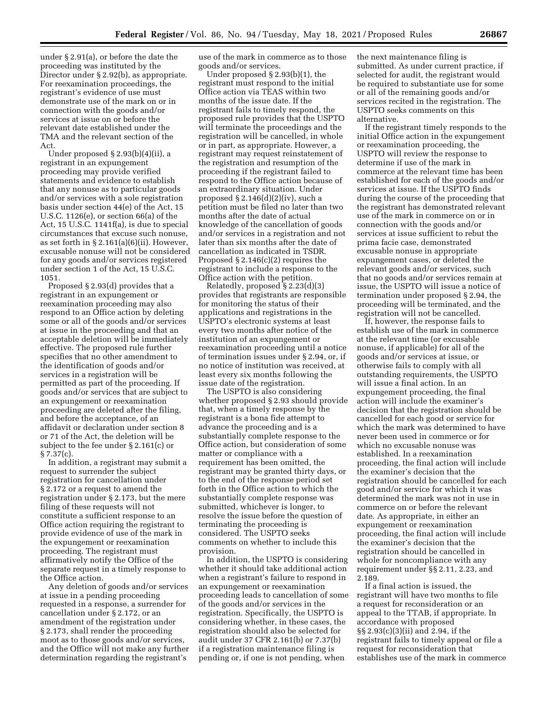under § 2.91(a), or before the date the proceeding was instituted by the Director under § 2.92(b), as appropriate. For reexamination proceedings, the registrant's evidence of use must demonstrate use of the mark on or in connection with the goods and/or services at issue on or before the relevant date established under the TMA and the relevant section of the Act.

Under proposed § 2.93(b)(4)(ii), a registrant in an expungement proceeding may provide verified statements and evidence to establish that any nonuse as to particular goods and/or services with a sole registration basis under section 44(e) of the Act, 15 U.S.C. 1126(e), or section 66(a) of the Act, 15 U.S.C. 1141f(a), is due to special circumstances that excuse such nonuse, as set forth in  $\S 2.161(a)(6)(ii)$ . However, excusable nonuse will not be considered for any goods and/or services registered under section 1 of the Act, 15 U.S.C. 1051.

Proposed § 2.93(d) provides that a registrant in an expungement or reexamination proceeding may also respond to an Office action by deleting some or all of the goods and/or services at issue in the proceeding and that an acceptable deletion will be immediately effective. The proposed rule further specifies that no other amendment to the identification of goods and/or services in a registration will be permitted as part of the proceeding. If goods and/or services that are subject to an expungement or reexamination proceeding are deleted after the filing, and before the acceptance, of an affidavit or declaration under section 8 or 71 of the Act, the deletion will be subject to the fee under § 2.161(c) or  $\S 7.37(c)$ .

In addition, a registrant may submit a request to surrender the subject registration for cancellation under § 2.172 or a request to amend the registration under § 2.173, but the mere filing of these requests will not constitute a sufficient response to an Office action requiring the registrant to provide evidence of use of the mark in the expungement or reexamination proceeding. The registrant must affirmatively notify the Office of the separate request in a timely response to the Office action.

Any deletion of goods and/or services at issue in a pending proceeding requested in a response, a surrender for cancellation under § 2.172, or an amendment of the registration under § 2.173, shall render the proceeding moot as to those goods and/or services, and the Office will not make any further determination regarding the registrant's

use of the mark in commerce as to those goods and/or services.

Under proposed § 2.93(b)(1), the registrant must respond to the initial Office action via TEAS within two months of the issue date. If the registrant fails to timely respond, the proposed rule provides that the USPTO will terminate the proceedings and the registration will be cancelled, in whole or in part, as appropriate. However, a registrant may request reinstatement of the registration and resumption of the proceeding if the registrant failed to respond to the Office action because of an extraordinary situation. Under proposed § 2.146(d)(2)(iv), such a petition must be filed no later than two months after the date of actual knowledge of the cancellation of goods and/or services in a registration and not later than six months after the date of cancellation as indicated in TSDR. Proposed  $\S 2.146(c)(2)$  requires the registrant to include a response to the Office action with the petition.

Relatedly, proposed § 2.23(d)(3) provides that registrants are responsible for monitoring the status of their applications and registrations in the USPTO's electronic systems at least every two months after notice of the institution of an expungement or reexamination proceeding until a notice of termination issues under § 2.94, or, if no notice of institution was received, at least every six months following the issue date of the registration.

The USPTO is also considering whether proposed § 2.93 should provide that, when a timely response by the registrant is a bona fide attempt to advance the proceeding and is a substantially complete response to the Office action, but consideration of some matter or compliance with a requirement has been omitted, the registrant may be granted thirty days, or to the end of the response period set forth in the Office action to which the substantially complete response was submitted, whichever is longer, to resolve the issue before the question of terminating the proceeding is considered. The USPTO seeks comments on whether to include this provision.

In addition, the USPTO is considering whether it should take additional action when a registrant's failure to respond in an expungement or reexamination proceeding leads to cancellation of some of the goods and/or services in the registration. Specifically, the USPTO is considering whether, in these cases, the registration should also be selected for audit under 37 CFR 2.161(b) or 7.37(b) if a registration maintenance filing is pending or, if one is not pending, when

the next maintenance filing is submitted. As under current practice, if selected for audit, the registrant would be required to substantiate use for some or all of the remaining goods and/or services recited in the registration. The USPTO seeks comments on this alternative.

If the registrant timely responds to the initial Office action in the expungement or reexamination proceeding, the USPTO will review the response to determine if use of the mark in commerce at the relevant time has been established for each of the goods and/or services at issue. If the USPTO finds during the course of the proceeding that the registrant has demonstrated relevant use of the mark in commerce on or in connection with the goods and/or services at issue sufficient to rebut the prima facie case, demonstrated excusable nonuse in appropriate expungement cases, or deleted the relevant goods and/or services, such that no goods and/or services remain at issue, the USPTO will issue a notice of termination under proposed § 2.94, the proceeding will be terminated, and the registration will not be cancelled.

If, however, the response fails to establish use of the mark in commerce at the relevant time (or excusable nonuse, if applicable) for all of the goods and/or services at issue, or otherwise fails to comply with all outstanding requirements, the USPTO will issue a final action. In an expungement proceeding, the final action will include the examiner's decision that the registration should be cancelled for each good or service for which the mark was determined to have never been used in commerce or for which no excusable nonuse was established. In a reexamination proceeding, the final action will include the examiner's decision that the registration should be cancelled for each good and/or service for which it was determined the mark was not in use in commerce on or before the relevant date. As appropriate, in either an expungement or reexamination proceeding, the final action will include the examiner's decision that the registration should be cancelled in whole for noncompliance with any requirement under §§ 2.11, 2.23, and 2.189.

If a final action is issued, the registrant will have two months to file a request for reconsideration or an appeal to the TTAB, if appropriate. In accordance with proposed §§ 2.93(c)(3)(ii) and 2.94, if the registrant fails to timely appeal or file a request for reconsideration that establishes use of the mark in commerce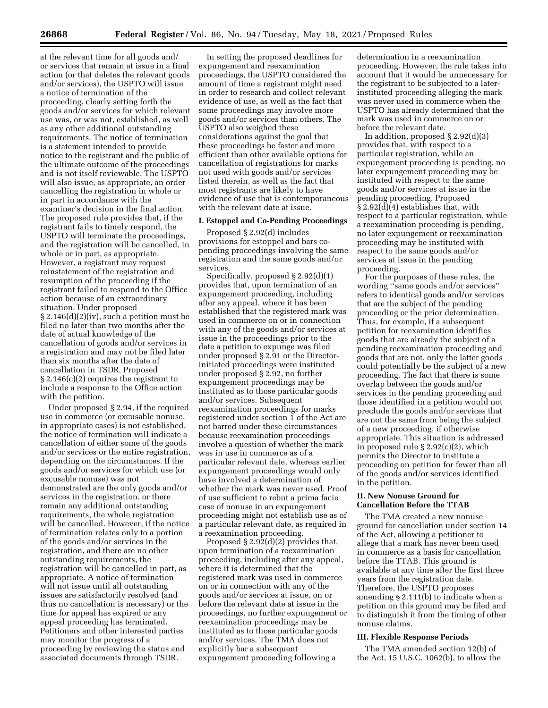at the relevant time for all goods and/ or services that remain at issue in a final action (or that deletes the relevant goods and/or services), the USPTO will issue a notice of termination of the proceeding, clearly setting forth the goods and/or services for which relevant use was, or was not, established, as well as any other additional outstanding requirements. The notice of termination is a statement intended to provide notice to the registrant and the public of the ultimate outcome of the proceedings and is not itself reviewable. The USPTO will also issue, as appropriate, an order cancelling the registration in whole or in part in accordance with the examiner's decision in the final action. The proposed rule provides that, if the registrant fails to timely respond, the USPTO will terminate the proceedings, and the registration will be cancelled, in whole or in part, as appropriate. However, a registrant may request reinstatement of the registration and resumption of the proceeding if the registrant failed to respond to the Office action because of an extraordinary situation. Under proposed § 2.146(d)(2)(iv), such a petition must be filed no later than two months after the date of actual knowledge of the cancellation of goods and/or services in a registration and may not be filed later than six months after the date of cancellation in TSDR. Proposed § 2.146(c)(2) requires the registrant to include a response to the Office action with the petition.

Under proposed § 2.94, if the required use in commerce (or excusable nonuse, in appropriate cases) is not established, the notice of termination will indicate a cancellation of either some of the goods and/or services or the entire registration, depending on the circumstances. If the goods and/or services for which use (or excusable nonuse) was not demonstrated are the only goods and/or services in the registration, or there remain any additional outstanding requirements, the whole registration will be cancelled. However, if the notice of termination relates only to a portion of the goods and/or services in the registration, and there are no other outstanding requirements, the registration will be cancelled in part, as appropriate. A notice of termination will not issue until all outstanding issues are satisfactorily resolved (and thus no cancellation is necessary) or the time for appeal has expired or any appeal proceeding has terminated. Petitioners and other interested parties may monitor the progress of a proceeding by reviewing the status and associated documents through TSDR.

In setting the proposed deadlines for expungement and reexamination proceedings, the USPTO considered the amount of time a registrant might need in order to research and collect relevant evidence of use, as well as the fact that some proceedings may involve more goods and/or services than others. The USPTO also weighed these considerations against the goal that these proceedings be faster and more efficient than other available options for cancellation of registrations for marks not used with goods and/or services listed therein, as well as the fact that most registrants are likely to have evidence of use that is contemporaneous with the relevant date at issue.

## **I. Estoppel and Co-Pending Proceedings**

Proposed § 2.92(d) includes provisions for estoppel and bars copending proceedings involving the same registration and the same goods and/or services.

Specifically, proposed § 2.92(d)(1) provides that, upon termination of an expungement proceeding, including after any appeal, where it has been established that the registered mark was used in commerce on or in connection with any of the goods and/or services at issue in the proceedings prior to the date a petition to expunge was filed under proposed § 2.91 or the Directorinitiated proceedings were instituted under proposed § 2.92, no further expungement proceedings may be instituted as to those particular goods and/or services. Subsequent reexamination proceedings for marks registered under section 1 of the Act are not barred under these circumstances because reexamination proceedings involve a question of whether the mark was in use in commerce as of a particular relevant date, whereas earlier expungement proceedings would only have involved a determination of whether the mark was never used. Proof of use sufficient to rebut a prima facie case of nonuse in an expungement proceeding might not establish use as of a particular relevant date, as required in a reexamination proceeding.

Proposed § 2.92(d)(2) provides that, upon termination of a reexamination proceeding, including after any appeal, where it is determined that the registered mark was used in commerce on or in connection with any of the goods and/or services at issue, on or before the relevant date at issue in the proceedings, no further expungement or reexamination proceedings may be instituted as to those particular goods and/or services. The TMA does not explicitly bar a subsequent expungement proceeding following a

determination in a reexamination proceeding. However, the rule takes into account that it would be unnecessary for the registrant to be subjected to a laterinstituted proceeding alleging the mark was never used in commerce when the USPTO has already determined that the mark was used in commerce on or before the relevant date.

In addition, proposed § 2.92(d)(3) provides that, with respect to a particular registration, while an expungement proceeding is pending, no later expungement proceeding may be instituted with respect to the same goods and/or services at issue in the pending proceeding. Proposed § 2.92(d)(4) establishes that, with respect to a particular registration, while a reexamination proceeding is pending, no later expungement or reexamination proceeding may be instituted with respect to the same goods and/or services at issue in the pending proceeding.

For the purposes of these rules, the wording ''same goods and/or services'' refers to identical goods and/or services that are the subject of the pending proceeding or the prior determination. Thus, for example, if a subsequent petition for reexamination identifies goods that are already the subject of a pending reexamination proceeding and goods that are not, only the latter goods could potentially be the subject of a new proceeding. The fact that there is some overlap between the goods and/or services in the pending proceeding and those identified in a petition would not preclude the goods and/or services that are not the same from being the subject of a new proceeding, if otherwise appropriate. This situation is addressed in proposed rule § 2.92(c)(2), which permits the Director to institute a proceeding on petition for fewer than all of the goods and/or services identified in the petition.

# **II. New Nonuse Ground for Cancellation Before the TTAB**

The TMA created a new nonuse ground for cancellation under section 14 of the Act, allowing a petitioner to allege that a mark has never been used in commerce as a basis for cancellation before the TTAB. This ground is available at any time after the first three years from the registration date. Therefore, the USPTO proposes amending § 2.111(b) to indicate when a petition on this ground may be filed and to distinguish it from the timing of other nonuse claims.

### **III. Flexible Response Periods**

The TMA amended section 12(b) of the Act, 15 U.S.C. 1062(b), to allow the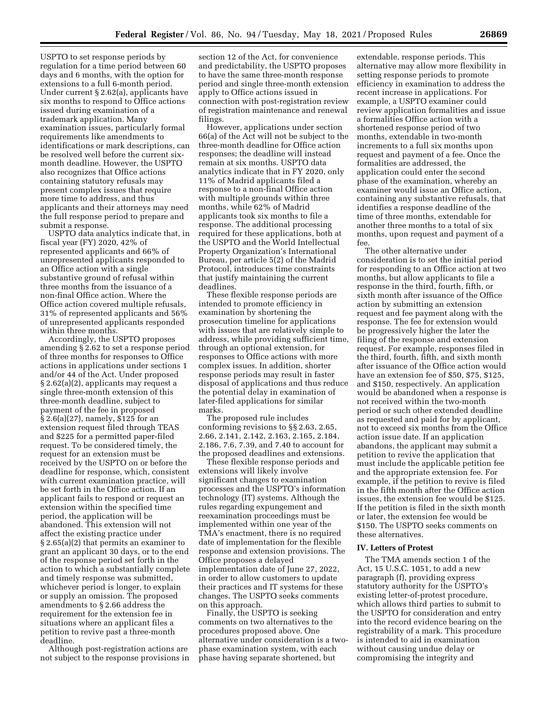USPTO to set response periods by regulation for a time period between 60 days and 6 months, with the option for extensions to a full 6-month period. Under current § 2.62(a), applicants have six months to respond to Office actions issued during examination of a trademark application. Many examination issues, particularly formal requirements like amendments to identifications or mark descriptions, can be resolved well before the current sixmonth deadline. However, the USPTO also recognizes that Office actions containing statutory refusals may present complex issues that require more time to address, and thus applicants and their attorneys may need the full response period to prepare and submit a response.

USPTO data analytics indicate that, in fiscal year (FY) 2020, 42% of represented applicants and 66% of unrepresented applicants responded to an Office action with a single substantive ground of refusal within three months from the issuance of a non-final Office action. Where the Office action covered multiple refusals, 31% of represented applicants and 56% of unrepresented applicants responded within three months.

Accordingly, the USPTO proposes amending § 2.62 to set a response period of three months for responses to Office actions in applications under sections 1 and/or 44 of the Act. Under proposed § 2.62(a)(2), applicants may request a single three-month extension of this three-month deadline, subject to payment of the fee in proposed § 2.6(a)(27), namely, \$125 for an extension request filed through TEAS and \$225 for a permitted paper-filed request. To be considered timely, the request for an extension must be received by the USPTO on or before the deadline for response, which, consistent with current examination practice, will be set forth in the Office action. If an applicant fails to respond or request an extension within the specified time period, the application will be abandoned. This extension will not affect the existing practice under § 2.65(a)(2) that permits an examiner to grant an applicant 30 days, or to the end of the response period set forth in the action to which a substantially complete and timely response was submitted, whichever period is longer, to explain or supply an omission. The proposed amendments to § 2.66 address the requirement for the extension fee in situations where an applicant files a petition to revive past a three-month deadline.

Although post-registration actions are not subject to the response provisions in

section 12 of the Act, for convenience and predictability, the USPTO proposes to have the same three-month response period and single three-month extension apply to Office actions issued in connection with post-registration review of registration maintenance and renewal filings.

However, applications under section 66(a) of the Act will not be subject to the three-month deadline for Office action responses; the deadline will instead remain at six months. USPTO data analytics indicate that in FY 2020, only 11% of Madrid applicants filed a response to a non-final Office action with multiple grounds within three months, while 62% of Madrid applicants took six months to file a response. The additional processing required for these applications, both at the USPTO and the World Intellectual Property Organization's International Bureau, per article 5(2) of the Madrid Protocol, introduces time constraints that justify maintaining the current deadlines.

These flexible response periods are intended to promote efficiency in examination by shortening the prosecution timeline for applications with issues that are relatively simple to address, while providing sufficient time, through an optional extension, for responses to Office actions with more complex issues. In addition, shorter response periods may result in faster disposal of applications and thus reduce the potential delay in examination of later-filed applications for similar marks.

The proposed rule includes conforming revisions to §§ 2.63, 2.65, 2.66, 2.141, 2.142, 2.163, 2.165, 2.184, 2.186, 7.6, 7.39, and 7.40 to account for the proposed deadlines and extensions.

These flexible response periods and extensions will likely involve significant changes to examination processes and the USPTO's information technology (IT) systems. Although the rules regarding expungement and reexamination proceedings must be implemented within one year of the TMA's enactment, there is no required date of implementation for the flexible response and extension provisions. The Office proposes a delayed implementation date of June 27, 2022, in order to allow customers to update their practices and IT systems for these changes. The USPTO seeks comments on this approach.

Finally, the USPTO is seeking comments on two alternatives to the procedures proposed above. One alternative under consideration is a twophase examination system, with each phase having separate shortened, but

extendable, response periods. This alternative may allow more flexibility in setting response periods to promote efficiency in examination to address the recent increase in applications. For example, a USPTO examiner could review application formalities and issue a formalities Office action with a shortened response period of two months, extendable in two-month increments to a full six months upon request and payment of a fee. Once the formalities are addressed, the application could enter the second phase of the examination, whereby an examiner would issue an Office action, containing any substantive refusals, that identifies a response deadline of the time of three months, extendable for another three months to a total of six months, upon request and payment of a fee.

The other alternative under consideration is to set the initial period for responding to an Office action at two months, but allow applicants to file a response in the third, fourth, fifth, or sixth month after issuance of the Office action by submitting an extension request and fee payment along with the response. The fee for extension would be progressively higher the later the filing of the response and extension request. For example, responses filed in the third, fourth, fifth, and sixth month after issuance of the Office action would have an extension fee of \$50, \$75, \$125, and \$150, respectively. An application would be abandoned when a response is not received within the two-month period or such other extended deadline as requested and paid for by applicant, not to exceed six months from the Office action issue date. If an application abandons, the applicant may submit a petition to revive the application that must include the applicable petition fee and the appropriate extension fee. For example, if the petition to revive is filed in the fifth month after the Office action issues, the extension fee would be \$125. If the petition is filed in the sixth month or later, the extension fee would be \$150. The USPTO seeks comments on these alternatives.

### **IV. Letters of Protest**

The TMA amends section 1 of the Act, 15 U.S.C. 1051, to add a new paragraph (f), providing express statutory authority for the USPTO's existing letter-of-protest procedure, which allows third parties to submit to the USPTO for consideration and entry into the record evidence bearing on the registrability of a mark. This procedure is intended to aid in examination without causing undue delay or compromising the integrity and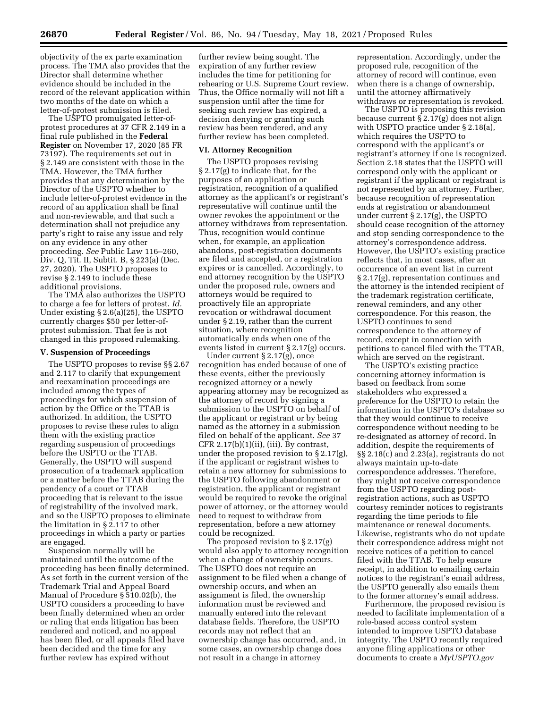objectivity of the ex parte examination process. The TMA also provides that the Director shall determine whether evidence should be included in the record of the relevant application within two months of the date on which a letter-of-protest submission is filed.

The USPTO promulgated letter-ofprotest procedures at 37 CFR 2.149 in a final rule published in the **Federal Register** on November 17, 2020 (85 FR 73197). The requirements set out in § 2.149 are consistent with those in the TMA. However, the TMA further provides that any determination by the Director of the USPTO whether to include letter-of-protest evidence in the record of an application shall be final and non-reviewable, and that such a determination shall not prejudice any party's right to raise any issue and rely on any evidence in any other proceeding. *See* Public Law 116–260, Div. Q, Tit. II, Subtit. B, § 223(a) (Dec. 27, 2020). The USPTO proposes to revise § 2.149 to include these additional provisions.

The TMA also authorizes the USPTO to charge a fee for letters of protest. *Id.*  Under existing § 2.6(a)(25), the USPTO currently charges \$50 per letter-ofprotest submission. That fee is not changed in this proposed rulemaking.

#### **V. Suspension of Proceedings**

The USPTO proposes to revise §§ 2.67 and 2.117 to clarify that expungement and reexamination proceedings are included among the types of proceedings for which suspension of action by the Office or the TTAB is authorized. In addition, the USPTO proposes to revise these rules to align them with the existing practice regarding suspension of proceedings before the USPTO or the TTAB. Generally, the USPTO will suspend prosecution of a trademark application or a matter before the TTAB during the pendency of a court or TTAB proceeding that is relevant to the issue of registrability of the involved mark, and so the USPTO proposes to eliminate the limitation in § 2.117 to other proceedings in which a party or parties are engaged.

Suspension normally will be maintained until the outcome of the proceeding has been finally determined. As set forth in the current version of the Trademark Trial and Appeal Board Manual of Procedure § 510.02(b), the USPTO considers a proceeding to have been finally determined when an order or ruling that ends litigation has been rendered and noticed, and no appeal has been filed, or all appeals filed have been decided and the time for any further review has expired without

further review being sought. The expiration of any further review includes the time for petitioning for rehearing or U.S. Supreme Court review. Thus, the Office normally will not lift a suspension until after the time for seeking such review has expired, a decision denying or granting such review has been rendered, and any further review has been completed.

#### **VI. Attorney Recognition**

The USPTO proposes revising § 2.17(g) to indicate that, for the purposes of an application or registration, recognition of a qualified attorney as the applicant's or registrant's representative will continue until the owner revokes the appointment or the attorney withdraws from representation. Thus, recognition would continue when, for example, an application abandons, post-registration documents are filed and accepted, or a registration expires or is cancelled. Accordingly, to end attorney recognition by the USPTO under the proposed rule, owners and attorneys would be required to proactively file an appropriate revocation or withdrawal document under § 2.19, rather than the current situation, where recognition automatically ends when one of the events listed in current § 2.17(g) occurs.

Under current § 2.17(g), once recognition has ended because of one of these events, either the previously recognized attorney or a newly appearing attorney may be recognized as the attorney of record by signing a submission to the USPTO on behalf of the applicant or registrant or by being named as the attorney in a submission filed on behalf of the applicant. *See* 37 CFR 2.17(b)(1)(ii), (iii). By contrast, under the proposed revision to § 2.17(g), if the applicant or registrant wishes to retain a new attorney for submissions to the USPTO following abandonment or registration, the applicant or registrant would be required to revoke the original power of attorney, or the attorney would need to request to withdraw from representation, before a new attorney could be recognized.

The proposed revision to § 2.17(g) would also apply to attorney recognition when a change of ownership occurs. The USPTO does not require an assignment to be filed when a change of ownership occurs, and when an assignment is filed, the ownership information must be reviewed and manually entered into the relevant database fields. Therefore, the USPTO records may not reflect that an ownership change has occurred, and, in some cases, an ownership change does not result in a change in attorney

representation. Accordingly, under the proposed rule, recognition of the attorney of record will continue, even when there is a change of ownership, until the attorney affirmatively withdraws or representation is revoked.

The USPTO is proposing this revision because current § 2.17(g) does not align with USPTO practice under § 2.18(a), which requires the USPTO to correspond with the applicant's or registrant's attorney if one is recognized. Section 2.18 states that the USPTO will correspond only with the applicant or registrant if the applicant or registrant is not represented by an attorney. Further, because recognition of representation ends at registration or abandonment under current § 2.17(g), the USPTO should cease recognition of the attorney and stop sending correspondence to the attorney's correspondence address. However, the USPTO's existing practice reflects that, in most cases, after an occurrence of an event list in current § 2.17(g), representation continues and the attorney is the intended recipient of the trademark registration certificate, renewal reminders, and any other correspondence. For this reason, the USPTO continues to send correspondence to the attorney of record, except in connection with petitions to cancel filed with the TTAB, which are served on the registrant.

The USPTO's existing practice concerning attorney information is based on feedback from some stakeholders who expressed a preference for the USPTO to retain the information in the USPTO's database so that they would continue to receive correspondence without needing to be re-designated as attorney of record. In addition, despite the requirements of §§ 2.18(c) and 2.23(a), registrants do not always maintain up-to-date correspondence addresses. Therefore, they might not receive correspondence from the USPTO regarding postregistration actions, such as USPTO courtesy reminder notices to registrants regarding the time periods to file maintenance or renewal documents. Likewise, registrants who do not update their correspondence address might not receive notices of a petition to cancel filed with the TTAB. To help ensure receipt, in addition to emailing certain notices to the registrant's email address, the USPTO generally also emails them to the former attorney's email address.

Furthermore, the proposed revision is needed to facilitate implementation of a role-based access control system intended to improve USPTO database integrity. The USPTO recently required anyone filing applications or other documents to create a *MyUSPTO.gov*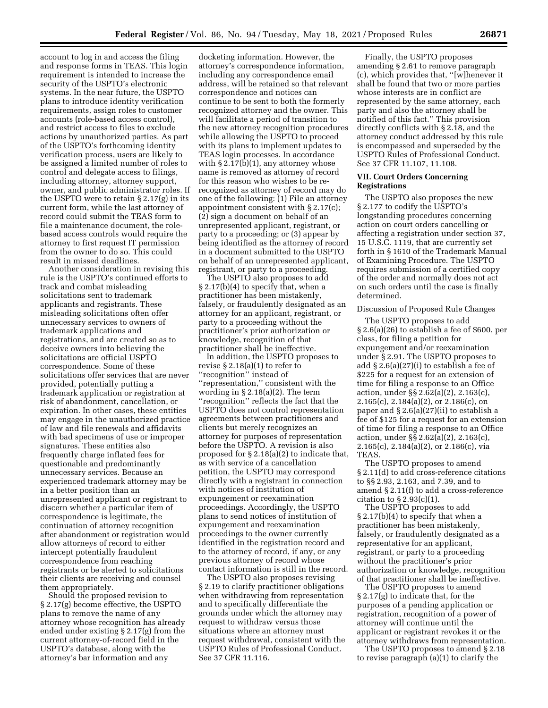account to log in and access the filing and response forms in TEAS. This login requirement is intended to increase the security of the USPTO's electronic systems. In the near future, the USPTO plans to introduce identity verification requirements, assign roles to customer accounts (role-based access control), and restrict access to files to exclude actions by unauthorized parties. As part of the USPTO's forthcoming identity verification process, users are likely to be assigned a limited number of roles to control and delegate access to filings, including attorney, attorney support, owner, and public administrator roles. If the USPTO were to retain § 2.17(g) in its current form, while the last attorney of record could submit the TEAS form to file a maintenance document, the rolebased access controls would require the attorney to first request IT permission from the owner to do so. This could result in missed deadlines.

Another consideration in revising this rule is the USPTO's continued efforts to track and combat misleading solicitations sent to trademark applicants and registrants. These misleading solicitations often offer unnecessary services to owners of trademark applications and registrations, and are created so as to deceive owners into believing the solicitations are official USPTO correspondence. Some of these solicitations offer services that are never provided, potentially putting a trademark application or registration at risk of abandonment, cancellation, or expiration. In other cases, these entities may engage in the unauthorized practice of law and file renewals and affidavits with bad specimens of use or improper signatures. These entities also frequently charge inflated fees for questionable and predominantly unnecessary services. Because an experienced trademark attorney may be in a better position than an unrepresented applicant or registrant to discern whether a particular item of correspondence is legitimate, the continuation of attorney recognition after abandonment or registration would allow attorneys of record to either intercept potentially fraudulent correspondence from reaching registrants or be alerted to solicitations their clients are receiving and counsel them appropriately.

Should the proposed revision to § 2.17(g) become effective, the USPTO plans to remove the name of any attorney whose recognition has already ended under existing § 2.17(g) from the current attorney-of-record field in the USPTO's database, along with the attorney's bar information and any

docketing information. However, the attorney's correspondence information, including any correspondence email address, will be retained so that relevant correspondence and notices can continue to be sent to both the formerly recognized attorney and the owner. This will facilitate a period of transition to the new attorney recognition procedures while allowing the USPTO to proceed with its plans to implement updates to TEAS login processes. In accordance with  $\S 2.17(b)(1)$ , any attorney whose name is removed as attorney of record for this reason who wishes to be rerecognized as attorney of record may do one of the following: (1) File an attorney appointment consistent with § 2.17(c); (2) sign a document on behalf of an unrepresented applicant, registrant, or party to a proceeding; or (3) appear by being identified as the attorney of record in a document submitted to the USPTO on behalf of an unrepresented applicant, registrant, or party to a proceeding.

The USPTO also proposes to add § 2.17(b)(4) to specify that, when a practitioner has been mistakenly, falsely, or fraudulently designated as an attorney for an applicant, registrant, or party to a proceeding without the practitioner's prior authorization or knowledge, recognition of that practitioner shall be ineffective.

In addition, the USPTO proposes to revise § 2.18(a)(1) to refer to ''recognition'' instead of ''representation,'' consistent with the wording in § 2.18(a)(2). The term ''recognition'' reflects the fact that the USPTO does not control representation agreements between practitioners and clients but merely recognizes an attorney for purposes of representation before the USPTO. A revision is also proposed for § 2.18(a)(2) to indicate that, as with service of a cancellation petition, the USPTO may correspond directly with a registrant in connection with notices of institution of expungement or reexamination proceedings. Accordingly, the USPTO plans to send notices of institution of expungement and reexamination proceedings to the owner currently identified in the registration record and to the attorney of record, if any, or any previous attorney of record whose contact information is still in the record.

The USPTO also proposes revising § 2.19 to clarify practitioner obligations when withdrawing from representation and to specifically differentiate the grounds under which the attorney may request to withdraw versus those situations where an attorney must request withdrawal, consistent with the USPTO Rules of Professional Conduct. See 37 CFR 11.116.

Finally, the USPTO proposes amending § 2.61 to remove paragraph (c), which provides that, ''[w]henever it shall be found that two or more parties whose interests are in conflict are represented by the same attorney, each party and also the attorney shall be notified of this fact.'' This provision directly conflicts with § 2.18, and the attorney conduct addressed by this rule is encompassed and superseded by the USPTO Rules of Professional Conduct. See 37 CFR 11.107, 11.108.

### **VII. Court Orders Concerning Registrations**

The USPTO also proposes the new § 2.177 to codify the USPTO's longstanding procedures concerning action on court orders cancelling or affecting a registration under section 37, 15 U.S.C. 1119, that are currently set forth in § 1610 of the Trademark Manual of Examining Procedure. The USPTO requires submission of a certified copy of the order and normally does not act on such orders until the case is finally determined.

#### Discussion of Proposed Rule Changes

The USPTO proposes to add § 2.6(a)(26) to establish a fee of \$600, per class, for filing a petition for expungement and/or reexamination under § 2.91. The USPTO proposes to add § 2.6(a)(27)(i) to establish a fee of \$225 for a request for an extension of time for filing a response to an Office action, under §§ 2.62(a)(2), 2.163(c), 2.165(c), 2.184(a)(2), or 2.186(c), on paper and § 2.6(a)(27)(ii) to establish a fee of \$125 for a request for an extension of time for filing a response to an Office action, under §§ 2.62(a)(2), 2.163(c), 2.165(c), 2.184(a)(2), or 2.186(c), via TEAS.

The USPTO proposes to amend § 2.11(d) to add cross-reference citations to §§ 2.93, 2.163, and 7.39, and to amend § 2.11(f) to add a cross-reference citation to  $\S 2.93(c)(1)$ .

The USPTO proposes to add § 2.17(b)(4) to specify that when a practitioner has been mistakenly, falsely, or fraudulently designated as a representative for an applicant, registrant, or party to a proceeding without the practitioner's prior authorization or knowledge, recognition of that practitioner shall be ineffective.

The USPTO proposes to amend § 2.17(g) to indicate that, for the purposes of a pending application or registration, recognition of a power of attorney will continue until the applicant or registrant revokes it or the attorney withdraws from representation.

The USPTO proposes to amend § 2.18 to revise paragraph (a)(1) to clarify the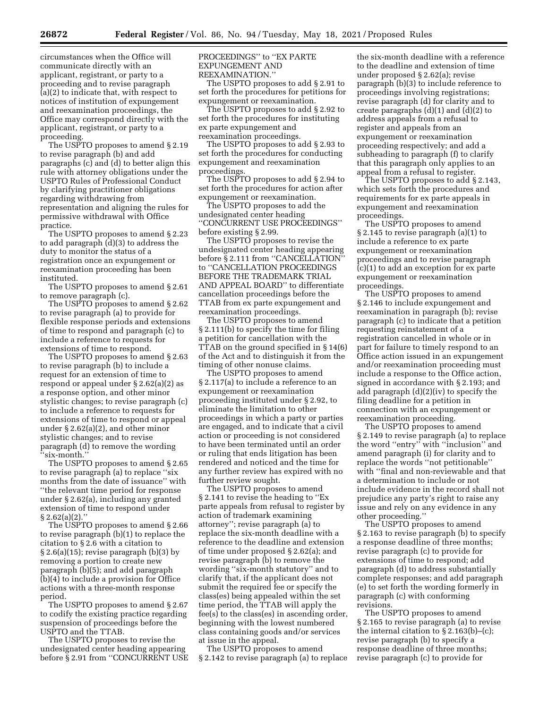circumstances when the Office will communicate directly with an applicant, registrant, or party to a proceeding and to revise paragraph (a)(2) to indicate that, with respect to notices of institution of expungement and reexamination proceedings, the Office may correspond directly with the applicant, registrant, or party to a proceeding.

The USPTO proposes to amend § 2.19 to revise paragraph (b) and add paragraphs (c) and (d) to better align this rule with attorney obligations under the USPTO Rules of Professional Conduct by clarifying practitioner obligations regarding withdrawing from representation and aligning the rules for permissive withdrawal with Office practice.

The USPTO proposes to amend § 2.23 to add paragraph (d)(3) to address the duty to monitor the status of a registration once an expungement or reexamination proceeding has been instituted.

The USPTO proposes to amend § 2.61 to remove paragraph (c).

The USPTO proposes to amend § 2.62 to revise paragraph (a) to provide for flexible response periods and extensions of time to respond and paragraph (c) to include a reference to requests for extensions of time to respond.

The USPTO proposes to amend § 2.63 to revise paragraph (b) to include a request for an extension of time to respond or appeal under § 2.62(a)(2) as a response option, and other minor stylistic changes; to revise paragraph (c) to include a reference to requests for extensions of time to respond or appeal under § 2.62(a)(2), and other minor stylistic changes; and to revise paragraph (d) to remove the wording ''six-month.''

The USPTO proposes to amend § 2.65 to revise paragraph (a) to replace ''six months from the date of issuance'' with ''the relevant time period for response under § 2.62(a), including any granted extension of time to respond under § 2.62(a)(2).''

The USPTO proposes to amend § 2.66 to revise paragraph (b)(1) to replace the citation to § 2.6 with a citation to § 2.6(a)(15); revise paragraph (b)(3) by removing a portion to create new paragraph (b)(5); and add paragraph (b)(4) to include a provision for Office actions with a three-month response period.

The USPTO proposes to amend § 2.67 to codify the existing practice regarding suspension of proceedings before the USPTO and the TTAB.

The USPTO proposes to revise the undesignated center heading appearing before § 2.91 from ''CONCURRENT USE PROCEEDINGS'' to ''EX PARTE EXPUNGEMENT AND REEXAMINATION.''

The USPTO proposes to add § 2.91 to set forth the procedures for petitions for expungement or reexamination.

The USPTO proposes to add § 2.92 to set forth the procedures for instituting ex parte expungement and reexamination proceedings.

The USPTO proposes to add § 2.93 to set forth the procedures for conducting expungement and reexamination proceedings.

The USPTO proposes to add § 2.94 to set forth the procedures for action after expungement or reexamination.

The USPTO proposes to add the undesignated center heading ''CONCURRENT USE PROCEEDINGS'' before existing § 2.99.

The USPTO proposes to revise the undesignated center heading appearing before § 2.111 from "CANCELLATION" to ''CANCELLATION PROCEEDINGS BEFORE THE TRADEMARK TRIAL AND APPEAL BOARD'' to differentiate cancellation proceedings before the TTAB from ex parte expungement and reexamination proceedings.

The USPTO proposes to amend § 2.111(b) to specify the time for filing a petition for cancellation with the TTAB on the ground specified in § 14(6) of the Act and to distinguish it from the timing of other nonuse claims.

The USPTO proposes to amend § 2.117(a) to include a reference to an expungement or reexamination proceeding instituted under § 2.92, to eliminate the limitation to other proceedings in which a party or parties are engaged, and to indicate that a civil action or proceeding is not considered to have been terminated until an order or ruling that ends litigation has been rendered and noticed and the time for any further review has expired with no further review sought.

The USPTO proposes to amend § 2.141 to revise the heading to ''Ex parte appeals from refusal to register by action of trademark examining attorney''; revise paragraph (a) to replace the six-month deadline with a reference to the deadline and extension of time under proposed § 2.62(a); and revise paragraph (b) to remove the wording ''six-month statutory'' and to clarify that, if the applicant does not submit the required fee or specify the class(es) being appealed within the set time period, the TTAB will apply the fee(s) to the class(es) in ascending order, beginning with the lowest numbered class containing goods and/or services at issue in the appeal.

The USPTO proposes to amend § 2.142 to revise paragraph (a) to replace

the six-month deadline with a reference to the deadline and extension of time under proposed § 2.62(a); revise paragraph (b)(3) to include reference to proceedings involving registrations; revise paragraph (d) for clarity and to create paragraphs  $(d)(1)$  and  $(d)(2)$  to address appeals from a refusal to register and appeals from an expungement or reexamination proceeding respectively; and add a subheading to paragraph (f) to clarify that this paragraph only applies to an appeal from a refusal to register.

The USPTO proposes to add § 2.143, which sets forth the procedures and requirements for ex parte appeals in expungement and reexamination proceedings.

The USPTO proposes to amend § 2.145 to revise paragraph (a)(1) to include a reference to ex parte expungement or reexamination proceedings and to revise paragraph (c)(1) to add an exception for ex parte expungement or reexamination proceedings.

The USPTO proposes to amend § 2.146 to include expungement and reexamination in paragraph (b); revise paragraph (c) to indicate that a petition requesting reinstatement of a registration cancelled in whole or in part for failure to timely respond to an Office action issued in an expungement and/or reexamination proceeding must include a response to the Office action, signed in accordance with § 2.193; and add paragraph (d)(2)(iv) to specify the filing deadline for a petition in connection with an expungement or reexamination proceeding.

The USPTO proposes to amend § 2.149 to revise paragraph (a) to replace the word ''entry'' with ''inclusion'' and amend paragraph (i) for clarity and to replace the words ''not petitionable'' with ''final and non-reviewable and that a determination to include or not include evidence in the record shall not prejudice any party's right to raise any issue and rely on any evidence in any other proceeding.''

The USPTO proposes to amend § 2.163 to revise paragraph (b) to specify a response deadline of three months; revise paragraph (c) to provide for extensions of time to respond; add paragraph (d) to address substantially complete responses; and add paragraph (e) to set forth the wording formerly in paragraph (c) with conforming revisions.

The USPTO proposes to amend § 2.165 to revise paragraph (a) to revise the internal citation to  $\S 2.163(b)$ –(c); revise paragraph (b) to specify a response deadline of three months; revise paragraph (c) to provide for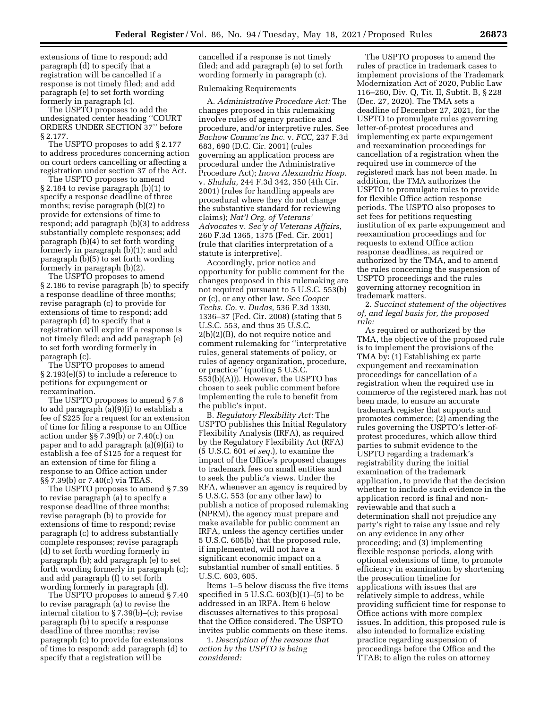extensions of time to respond; add paragraph (d) to specify that a registration will be cancelled if a response is not timely filed; and add paragraph (e) to set forth wording formerly in paragraph (c).

The USPTO proposes to add the undesignated center heading ''COURT ORDERS UNDER SECTION 37'' before § 2.177.

The USPTO proposes to add § 2.177 to address procedures concerning action on court orders cancelling or affecting a registration under section 37 of the Act.

The USPTO proposes to amend § 2.184 to revise paragraph (b)(1) to specify a response deadline of three months; revise paragraph (b)(2) to provide for extensions of time to respond; add paragraph (b)(3) to address substantially complete responses; add paragraph (b)(4) to set forth wording formerly in paragraph (b)(1); and add paragraph (b)(5) to set forth wording formerly in paragraph (b)(2).

The USPTO proposes to amend § 2.186 to revise paragraph (b) to specify a response deadline of three months; revise paragraph (c) to provide for extensions of time to respond; add paragraph (d) to specify that a registration will expire if a response is not timely filed; and add paragraph (e) to set forth wording formerly in paragraph (c).

The USPTO proposes to amend § 2.193(e)(5) to include a reference to petitions for expungement or reexamination.

The USPTO proposes to amend § 7.6 to add paragraph (a)(9)(i) to establish a fee of \$225 for a request for an extension of time for filing a response to an Office action under §§ 7.39(b) or 7.40(c) on paper and to add paragraph (a)(9)(ii) to establish a fee of \$125 for a request for an extension of time for filing a response to an Office action under §§ 7.39(b) or 7.40(c) via TEAS.

The USPTO proposes to amend § 7.39 to revise paragraph (a) to specify a response deadline of three months; revise paragraph (b) to provide for extensions of time to respond; revise paragraph (c) to address substantially complete responses; revise paragraph (d) to set forth wording formerly in paragraph (b); add paragraph (e) to set forth wording formerly in paragraph (c); and add paragraph (f) to set forth wording formerly in paragraph (d).

The USPTO proposes to amend § 7.40 to revise paragraph (a) to revise the internal citation to § 7.39(b)–(c); revise paragraph (b) to specify a response deadline of three months; revise paragraph (c) to provide for extensions of time to respond; add paragraph (d) to specify that a registration will be

cancelled if a response is not timely filed; and add paragraph (e) to set forth wording formerly in paragraph (c).

### Rulemaking Requirements

A. *Administrative Procedure Act:* The changes proposed in this rulemaking involve rules of agency practice and procedure, and/or interpretive rules. See *Bachow Commc'ns Inc.* v. *FCC,* 237 F.3d 683, 690 (D.C. Cir. 2001) (rules governing an application process are procedural under the Administrative Procedure Act); *Inova Alexandria Hosp.*  v. *Shalala,* 244 F.3d 342, 350 (4th Cir. 2001) (rules for handling appeals are procedural where they do not change the substantive standard for reviewing claims); *Nat'l Org. of Veterans' Advocates* v. *Sec'y of Veterans Affairs,*  260 F.3d 1365, 1375 (Fed. Cir. 2001) (rule that clarifies interpretation of a statute is interpretive).

Accordingly, prior notice and opportunity for public comment for the changes proposed in this rulemaking are not required pursuant to 5 U.S.C. 553(b) or (c), or any other law. See *Cooper Techs. Co.* v. *Dudas,* 536 F.3d 1330, 1336–37 (Fed. Cir. 2008) (stating that 5 U.S.C. 553, and thus 35 U.S.C. 2(b)(2)(B), do not require notice and comment rulemaking for ''interpretative rules, general statements of policy, or rules of agency organization, procedure, or practice'' (quoting 5 U.S.C. 553(b)(A))). However, the USPTO has chosen to seek public comment before implementing the rule to benefit from the public's input.

B. *Regulatory Flexibility Act:* The USPTO publishes this Initial Regulatory Flexibility Analysis (IRFA), as required by the Regulatory Flexibility Act (RFA) (5 U.S.C. 601 *et seq.*), to examine the impact of the Office's proposed changes to trademark fees on small entities and to seek the public's views. Under the RFA, whenever an agency is required by 5 U.S.C. 553 (or any other law) to publish a notice of proposed rulemaking (NPRM), the agency must prepare and make available for public comment an IRFA, unless the agency certifies under 5 U.S.C. 605(b) that the proposed rule, if implemented, will not have a significant economic impact on a substantial number of small entities. 5 U.S.C. 603, 605.

Items 1–5 below discuss the five items specified in 5 U.S.C.  $603(b)(1)$ – $(5)$  to be addressed in an IRFA. Item 6 below discusses alternatives to this proposal that the Office considered. The USPTO invites public comments on these items.

1. *Description of the reasons that action by the USPTO is being considered:* 

The USPTO proposes to amend the rules of practice in trademark cases to implement provisions of the Trademark Modernization Act of 2020, Public Law 116–260, Div. Q, Tit. II, Subtit. B, § 228 (Dec. 27, 2020). The TMA sets a deadline of December 27, 2021, for the USPTO to promulgate rules governing letter-of-protest procedures and implementing ex parte expungement and reexamination proceedings for cancellation of a registration when the required use in commerce of the registered mark has not been made. In addition, the TMA authorizes the USPTO to promulgate rules to provide for flexible Office action response periods. The USPTO also proposes to set fees for petitions requesting institution of ex parte expungement and reexamination proceedings and for requests to extend Office action response deadlines, as required or authorized by the TMA, and to amend the rules concerning the suspension of USPTO proceedings and the rules governing attorney recognition in trademark matters.

2. *Succinct statement of the objectives of, and legal basis for, the proposed rule:* 

As required or authorized by the TMA, the objective of the proposed rule is to implement the provisions of the TMA by: (1) Establishing ex parte expungement and reexamination proceedings for cancellation of a registration when the required use in commerce of the registered mark has not been made, to ensure an accurate trademark register that supports and promotes commerce; (2) amending the rules governing the USPTO's letter-ofprotest procedures, which allow third parties to submit evidence to the USPTO regarding a trademark's registrability during the initial examination of the trademark application, to provide that the decision whether to include such evidence in the application record is final and nonreviewable and that such a determination shall not prejudice any party's right to raise any issue and rely on any evidence in any other proceeding; and (3) implementing flexible response periods, along with optional extensions of time, to promote efficiency in examination by shortening the prosecution timeline for applications with issues that are relatively simple to address, while providing sufficient time for response to Office actions with more complex issues. In addition, this proposed rule is also intended to formalize existing practice regarding suspension of proceedings before the Office and the TTAB; to align the rules on attorney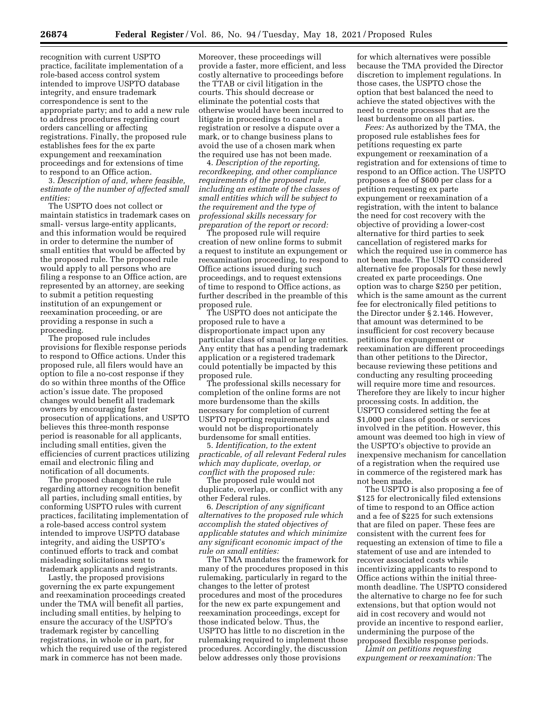recognition with current USPTO practice, facilitate implementation of a role-based access control system intended to improve USPTO database integrity, and ensure trademark correspondence is sent to the appropriate party; and to add a new rule to address procedures regarding court orders cancelling or affecting registrations. Finally, the proposed rule establishes fees for the ex parte expungement and reexamination proceedings and for extensions of time to respond to an Office action.

3. *Description of and, where feasible, estimate of the number of affected small entities:* 

The USPTO does not collect or maintain statistics in trademark cases on small- versus large-entity applicants, and this information would be required in order to determine the number of small entities that would be affected by the proposed rule. The proposed rule would apply to all persons who are filing a response to an Office action, are represented by an attorney, are seeking to submit a petition requesting institution of an expungement or reexamination proceeding, or are providing a response in such a proceeding.

The proposed rule includes provisions for flexible response periods to respond to Office actions. Under this proposed rule, all filers would have an option to file a no-cost response if they do so within three months of the Office action's issue date. The proposed changes would benefit all trademark owners by encouraging faster prosecution of applications, and USPTO believes this three-month response period is reasonable for all applicants, including small entities, given the efficiencies of current practices utilizing email and electronic filing and notification of all documents.

The proposed changes to the rule regarding attorney recognition benefit all parties, including small entities, by conforming USPTO rules with current practices, facilitating implementation of a role-based access control system intended to improve USPTO database integrity, and aiding the USPTO's continued efforts to track and combat misleading solicitations sent to trademark applicants and registrants.

Lastly, the proposed provisions governing the ex parte expungement and reexamination proceedings created under the TMA will benefit all parties, including small entities, by helping to ensure the accuracy of the USPTO's trademark register by cancelling registrations, in whole or in part, for which the required use of the registered mark in commerce has not been made.

Moreover, these proceedings will provide a faster, more efficient, and less costly alternative to proceedings before the TTAB or civil litigation in the courts. This should decrease or eliminate the potential costs that otherwise would have been incurred to litigate in proceedings to cancel a registration or resolve a dispute over a mark, or to change business plans to avoid the use of a chosen mark when the required use has not been made.

4. *Description of the reporting, recordkeeping, and other compliance requirements of the proposed rule, including an estimate of the classes of small entities which will be subject to the requirement and the type of professional skills necessary for preparation of the report or record:* 

The proposed rule will require creation of new online forms to submit a request to institute an expungement or reexamination proceeding, to respond to Office actions issued during such proceedings, and to request extensions of time to respond to Office actions, as further described in the preamble of this proposed rule.

The USPTO does not anticipate the proposed rule to have a disproportionate impact upon any particular class of small or large entities. Any entity that has a pending trademark application or a registered trademark could potentially be impacted by this proposed rule.

The professional skills necessary for completion of the online forms are not more burdensome than the skills necessary for completion of current USPTO reporting requirements and would not be disproportionately burdensome for small entities.

5. *Identification, to the extent practicable, of all relevant Federal rules which may duplicate, overlap, or conflict with the proposed rule:* 

The proposed rule would not duplicate, overlap, or conflict with any other Federal rules.

6. *Description of any significant alternatives to the proposed rule which accomplish the stated objectives of applicable statutes and which minimize any significant economic impact of the rule on small entities:* 

The TMA mandates the framework for many of the procedures proposed in this rulemaking, particularly in regard to the changes to the letter of protest procedures and most of the procedures for the new ex parte expungement and reexamination proceedings, except for those indicated below. Thus, the USPTO has little to no discretion in the rulemaking required to implement those procedures. Accordingly, the discussion below addresses only those provisions

for which alternatives were possible because the TMA provided the Director discretion to implement regulations. In those cases, the USPTO chose the option that best balanced the need to achieve the stated objectives with the need to create processes that are the least burdensome on all parties.

*Fees:* As authorized by the TMA, the proposed rule establishes fees for petitions requesting ex parte expungement or reexamination of a registration and for extensions of time to respond to an Office action. The USPTO proposes a fee of \$600 per class for a petition requesting ex parte expungement or reexamination of a registration, with the intent to balance the need for cost recovery with the objective of providing a lower-cost alternative for third parties to seek cancellation of registered marks for which the required use in commerce has not been made. The USPTO considered alternative fee proposals for these newly created ex parte proceedings. One option was to charge \$250 per petition, which is the same amount as the current fee for electronically filed petitions to the Director under § 2.146. However, that amount was determined to be insufficient for cost recovery because petitions for expungement or reexamination are different proceedings than other petitions to the Director, because reviewing these petitions and conducting any resulting proceeding will require more time and resources. Therefore they are likely to incur higher processing costs. In addition, the USPTO considered setting the fee at \$1,000 per class of goods or services involved in the petition. However, this amount was deemed too high in view of the USPTO's objective to provide an inexpensive mechanism for cancellation of a registration when the required use in commerce of the registered mark has not been made.

The USPTO is also proposing a fee of \$125 for electronically filed extensions of time to respond to an Office action and a fee of \$225 for such extensions that are filed on paper. These fees are consistent with the current fees for requesting an extension of time to file a statement of use and are intended to recover associated costs while incentivizing applicants to respond to Office actions within the initial threemonth deadline. The USPTO considered the alternative to charge no fee for such extensions, but that option would not aid in cost recovery and would not provide an incentive to respond earlier, undermining the purpose of the proposed flexible response periods.

*Limit on petitions requesting expungement or reexamination:* The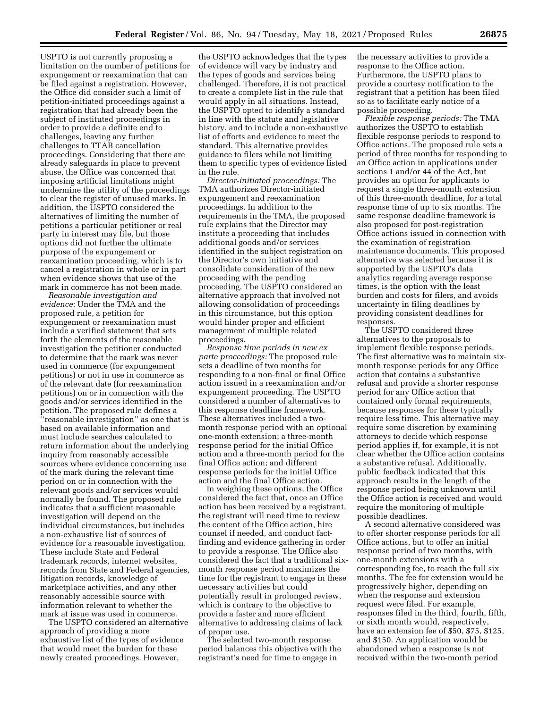USPTO is not currently proposing a limitation on the number of petitions for expungement or reexamination that can be filed against a registration. However, the Office did consider such a limit of petition-initiated proceedings against a registration that had already been the subject of instituted proceedings in order to provide a definite end to challenges, leaving any further challenges to TTAB cancellation proceedings. Considering that there are already safeguards in place to prevent abuse, the Office was concerned that imposing artificial limitations might undermine the utility of the proceedings to clear the register of unused marks. In addition, the USPTO considered the alternatives of limiting the number of petitions a particular petitioner or real party in interest may file, but those options did not further the ultimate purpose of the expungement or reexamination proceeding, which is to cancel a registration in whole or in part when evidence shows that use of the mark in commerce has not been made.

*Reasonable investigation and evidence:* Under the TMA and the proposed rule, a petition for expungement or reexamination must include a verified statement that sets forth the elements of the reasonable investigation the petitioner conducted to determine that the mark was never used in commerce (for expungement petitions) or not in use in commerce as of the relevant date (for reexamination petitions) on or in connection with the goods and/or services identified in the petition. The proposed rule defines a ''reasonable investigation'' as one that is based on available information and must include searches calculated to return information about the underlying inquiry from reasonably accessible sources where evidence concerning use of the mark during the relevant time period on or in connection with the relevant goods and/or services would normally be found. The proposed rule indicates that a sufficient reasonable investigation will depend on the individual circumstances, but includes a non-exhaustive list of sources of evidence for a reasonable investigation. These include State and Federal trademark records, internet websites, records from State and Federal agencies, litigation records, knowledge of marketplace activities, and any other reasonably accessible source with information relevant to whether the mark at issue was used in commerce.

The USPTO considered an alternative approach of providing a more exhaustive list of the types of evidence that would meet the burden for these newly created proceedings. However,

the USPTO acknowledges that the types of evidence will vary by industry and the types of goods and services being challenged. Therefore, it is not practical to create a complete list in the rule that would apply in all situations. Instead, the USPTO opted to identify a standard in line with the statute and legislative history, and to include a non-exhaustive list of efforts and evidence to meet the standard. This alternative provides guidance to filers while not limiting them to specific types of evidence listed in the rule.

*Director-initiated proceedings:* The TMA authorizes Director-initiated expungement and reexamination proceedings. In addition to the requirements in the TMA, the proposed rule explains that the Director may institute a proceeding that includes additional goods and/or services identified in the subject registration on the Director's own initiative and consolidate consideration of the new proceeding with the pending proceeding. The USPTO considered an alternative approach that involved not allowing consolidation of proceedings in this circumstance, but this option would hinder proper and efficient management of multiple related proceedings.

*Response time periods in new ex parte proceedings:* The proposed rule sets a deadline of two months for responding to a non-final or final Office action issued in a reexamination and/or expungement proceeding. The USPTO considered a number of alternatives to this response deadline framework. These alternatives included a twomonth response period with an optional one-month extension; a three-month response period for the initial Office action and a three-month period for the final Office action; and different response periods for the initial Office action and the final Office action.

In weighing these options, the Office considered the fact that, once an Office action has been received by a registrant, the registrant will need time to review the content of the Office action, hire counsel if needed, and conduct factfinding and evidence gathering in order to provide a response. The Office also considered the fact that a traditional sixmonth response period maximizes the time for the registrant to engage in these necessary activities but could potentially result in prolonged review, which is contrary to the objective to provide a faster and more efficient alternative to addressing claims of lack of proper use.

The selected two-month response period balances this objective with the registrant's need for time to engage in

the necessary activities to provide a response to the Office action. Furthermore, the USPTO plans to provide a courtesy notification to the registrant that a petition has been filed so as to facilitate early notice of a possible proceeding.

*Flexible response periods:* The TMA authorizes the USPTO to establish flexible response periods to respond to Office actions. The proposed rule sets a period of three months for responding to an Office action in applications under sections 1 and/or 44 of the Act, but provides an option for applicants to request a single three-month extension of this three-month deadline, for a total response time of up to six months. The same response deadline framework is also proposed for post-registration Office actions issued in connection with the examination of registration maintenance documents. This proposed alternative was selected because it is supported by the USPTO's data analytics regarding average response times, is the option with the least burden and costs for filers, and avoids uncertainty in filing deadlines by providing consistent deadlines for responses.

The USPTO considered three alternatives to the proposals to implement flexible response periods. The first alternative was to maintain sixmonth response periods for any Office action that contains a substantive refusal and provide a shorter response period for any Office action that contained only formal requirements, because responses for these typically require less time. This alternative may require some discretion by examining attorneys to decide which response period applies if, for example, it is not clear whether the Office action contains a substantive refusal. Additionally, public feedback indicated that this approach results in the length of the response period being unknown until the Office action is received and would require the monitoring of multiple possible deadlines.

A second alternative considered was to offer shorter response periods for all Office actions, but to offer an initial response period of two months, with one-month extensions with a corresponding fee, to reach the full six months. The fee for extension would be progressively higher, depending on when the response and extension request were filed. For example, responses filed in the third, fourth, fifth, or sixth month would, respectively, have an extension fee of \$50, \$75, \$125, and \$150. An application would be abandoned when a response is not received within the two-month period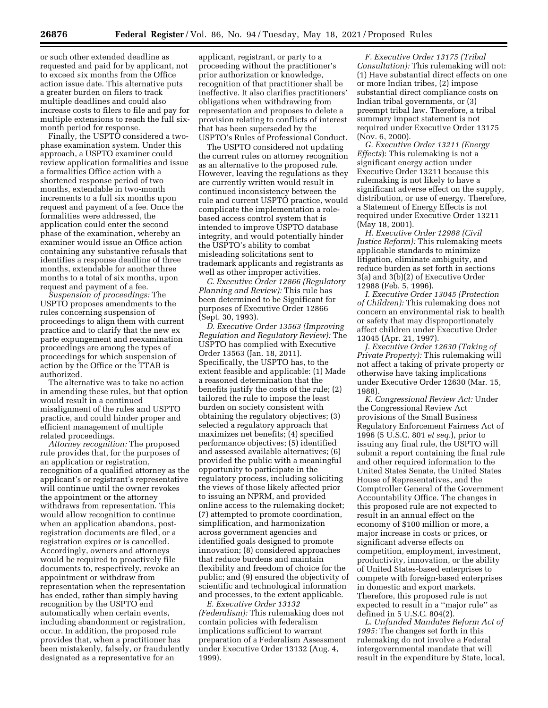or such other extended deadline as requested and paid for by applicant, not to exceed six months from the Office action issue date. This alternative puts a greater burden on filers to track multiple deadlines and could also increase costs to filers to file and pay for multiple extensions to reach the full sixmonth period for response.

Finally, the USPTO considered a twophase examination system. Under this approach, a USPTO examiner could review application formalities and issue a formalities Office action with a shortened response period of two months, extendable in two-month increments to a full six months upon request and payment of a fee. Once the formalities were addressed, the application could enter the second phase of the examination, whereby an examiner would issue an Office action containing any substantive refusals that identifies a response deadline of three months, extendable for another three months to a total of six months, upon request and payment of a fee.

*Suspension of proceedings:* The USPTO proposes amendments to the rules concerning suspension of proceedings to align them with current practice and to clarify that the new ex parte expungement and reexamination proceedings are among the types of proceedings for which suspension of action by the Office or the TTAB is authorized.

The alternative was to take no action in amending these rules, but that option would result in a continued misalignment of the rules and USPTO practice, and could hinder proper and efficient management of multiple related proceedings.

*Attorney recognition:* The proposed rule provides that, for the purposes of an application or registration, recognition of a qualified attorney as the applicant's or registrant's representative will continue until the owner revokes the appointment or the attorney withdraws from representation. This would allow recognition to continue when an application abandons, postregistration documents are filed, or a registration expires or is cancelled. Accordingly, owners and attorneys would be required to proactively file documents to, respectively, revoke an appointment or withdraw from representation when the representation has ended, rather than simply having recognition by the USPTO end automatically when certain events, including abandonment or registration, occur. In addition, the proposed rule provides that, when a practitioner has been mistakenly, falsely, or fraudulently designated as a representative for an

applicant, registrant, or party to a proceeding without the practitioner's prior authorization or knowledge, recognition of that practitioner shall be ineffective. It also clarifies practitioners' obligations when withdrawing from representation and proposes to delete a provision relating to conflicts of interest that has been superseded by the USPTO's Rules of Professional Conduct.

The USPTO considered not updating the current rules on attorney recognition as an alternative to the proposed rule. However, leaving the regulations as they are currently written would result in continued inconsistency between the rule and current USPTO practice, would complicate the implementation a rolebased access control system that is intended to improve USPTO database integrity, and would potentially hinder the USPTO's ability to combat misleading solicitations sent to trademark applicants and registrants as well as other improper activities.

*C. Executive Order 12866 (Regulatory Planning and Review):* This rule has been determined to be Significant for purposes of Executive Order 12866 (Sept. 30, 1993).

*D. Executive Order 13563 (Improving Regulation and Regulatory Review):* The USPTO has complied with Executive Order 13563 (Jan. 18, 2011). Specifically, the USPTO has, to the extent feasible and applicable: (1) Made a reasoned determination that the benefits justify the costs of the rule; (2) tailored the rule to impose the least burden on society consistent with obtaining the regulatory objectives; (3) selected a regulatory approach that maximizes net benefits; (4) specified performance objectives; (5) identified and assessed available alternatives; (6) provided the public with a meaningful opportunity to participate in the regulatory process, including soliciting the views of those likely affected prior to issuing an NPRM, and provided online access to the rulemaking docket; (7) attempted to promote coordination, simplification, and harmonization across government agencies and identified goals designed to promote innovation; (8) considered approaches that reduce burdens and maintain flexibility and freedom of choice for the public; and (9) ensured the objectivity of scientific and technological information and processes, to the extent applicable.

*E. Executive Order 13132 (Federalism):* This rulemaking does not contain policies with federalism implications sufficient to warrant preparation of a Federalism Assessment under Executive Order 13132 (Aug. 4, 1999).

*F. Executive Order 13175 (Tribal Consultation):* This rulemaking will not: (1) Have substantial direct effects on one or more Indian tribes, (2) impose substantial direct compliance costs on Indian tribal governments, or (3) preempt tribal law. Therefore, a tribal summary impact statement is not required under Executive Order 13175 (Nov. 6, 2000).

*G. Executive Order 13211 (Energy Effects*): This rulemaking is not a significant energy action under Executive Order 13211 because this rulemaking is not likely to have a significant adverse effect on the supply, distribution, or use of energy. Therefore, a Statement of Energy Effects is not required under Executive Order 13211 (May 18, 2001).

*H. Executive Order 12988 (Civil Justice Reform):* This rulemaking meets applicable standards to minimize litigation, eliminate ambiguity, and reduce burden as set forth in sections 3(a) and 3(b)(2) of Executive Order 12988 (Feb. 5, 1996).

*I. Executive Order 13045 (Protection of Children):* This rulemaking does not concern an environmental risk to health or safety that may disproportionately affect children under Executive Order 13045 (Apr. 21, 1997).

*J. Executive Order 12630 (Taking of Private Property):* This rulemaking will not affect a taking of private property or otherwise have taking implications under Executive Order 12630 (Mar. 15, 1988).

*K. Congressional Review Act:* Under the Congressional Review Act provisions of the Small Business Regulatory Enforcement Fairness Act of 1996 (5 U.S.C. 801 *et seq.*), prior to issuing any final rule, the USPTO will submit a report containing the final rule and other required information to the United States Senate, the United States House of Representatives, and the Comptroller General of the Government Accountability Office. The changes in this proposed rule are not expected to result in an annual effect on the economy of \$100 million or more, a major increase in costs or prices, or significant adverse effects on competition, employment, investment, productivity, innovation, or the ability of United States-based enterprises to compete with foreign-based enterprises in domestic and export markets. Therefore, this proposed rule is not expected to result in a ''major rule'' as defined in 5 U.S.C. 804(2).

*L. Unfunded Mandates Reform Act of 1995:* The changes set forth in this rulemaking do not involve a Federal intergovernmental mandate that will result in the expenditure by State, local,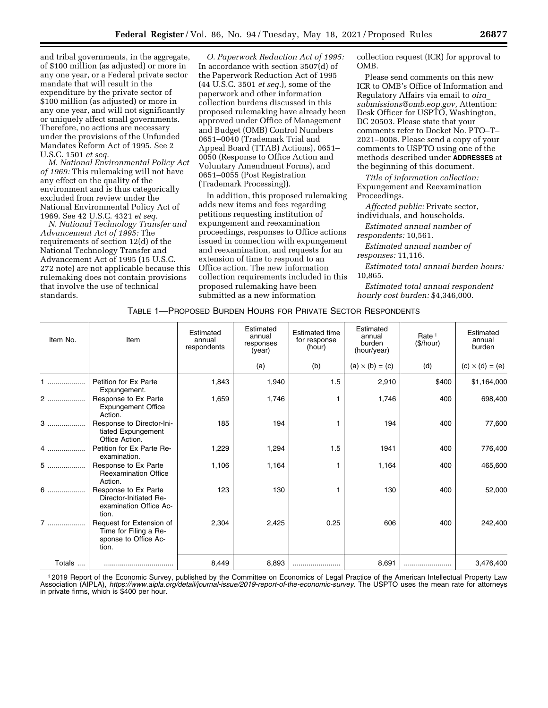and tribal governments, in the aggregate, of \$100 million (as adjusted) or more in any one year, or a Federal private sector mandate that will result in the expenditure by the private sector of \$100 million (as adjusted) or more in any one year, and will not significantly or uniquely affect small governments. Therefore, no actions are necessary under the provisions of the Unfunded Mandates Reform Act of 1995. See 2 U.S.C. 1501 *et seq.* 

*M. National Environmental Policy Act of 1969:* This rulemaking will not have any effect on the quality of the environment and is thus categorically excluded from review under the National Environmental Policy Act of 1969. See 42 U.S.C. 4321 *et seq.* 

*N. National Technology Transfer and Advancement Act of 1995:* The requirements of section 12(d) of the National Technology Transfer and Advancement Act of 1995 (15 U.S.C. 272 note) are not applicable because this rulemaking does not contain provisions that involve the use of technical standards.

*O. Paperwork Reduction Act of 1995:*  In accordance with section 3507(d) of the Paperwork Reduction Act of 1995 (44 U.S.C. 3501 *et seq.*), some of the paperwork and other information collection burdens discussed in this proposed rulemaking have already been approved under Office of Management and Budget (OMB) Control Numbers 0651–0040 (Trademark Trial and Appeal Board (TTAB) Actions), 0651– 0050 (Response to Office Action and Voluntary Amendment Forms), and 0651–0055 (Post Registration (Trademark Processing)).

In addition, this proposed rulemaking adds new items and fees regarding petitions requesting institution of expungement and reexamination proceedings, responses to Office actions issued in connection with expungement and reexamination, and requests for an extension of time to respond to an Office action. The new information collection requirements included in this proposed rulemaking have been submitted as a new information

collection request (ICR) for approval to OMB.

Please send comments on this new ICR to OMB's Office of Information and Regulatory Affairs via email to *[oira](mailto:oira_submissions@omb.eop.gov)*\_ *[submissions@omb.eop.gov,](mailto:oira_submissions@omb.eop.gov)* Attention: Desk Officer for USPTO, Washington, DC 20503. Please state that your comments refer to Docket No. PTO–T– 2021–0008. Please send a copy of your comments to USPTO using one of the methods described under **ADDRESSES** at the beginning of this document.

*Title of information collection:*  Expungement and Reexamination Proceedings.

*Affected public:* Private sector, individuals, and households.

*Estimated annual number of respondents:* 10,561.

*Estimated annual number of responses:* 11,116.

*Estimated total annual burden hours:*  10,865.

*Estimated total annual respondent hourly cost burden:* \$4,346,000.

### TABLE 1—PROPOSED BURDEN HOURS FOR PRIVATE SECTOR RESPONDENTS

| Item No. | Item                                                                               | Estimated<br>annual<br>respondents | Estimated<br>annual<br>responses<br>(year) | <b>Estimated time</b><br>for response<br>(hour) | Estimated<br>annual<br>burden<br>(hour/year) | Rate <sup>1</sup><br>(\$/hour) | Estimated<br>annual<br>burden |
|----------|------------------------------------------------------------------------------------|------------------------------------|--------------------------------------------|-------------------------------------------------|----------------------------------------------|--------------------------------|-------------------------------|
|          |                                                                                    |                                    | (a)                                        | (b)                                             | $(a) \times (b) = (c)$                       | (d)                            | $(c) \times (d) = (e)$        |
|          | Petition for Ex Parte<br>Expungement.                                              | 1,843                              | 1,940                                      | 1.5                                             | 2,910                                        | \$400                          | \$1,164,000                   |
| 2        | Response to Ex Parte<br><b>Expungement Office</b><br>Action.                       | 1,659                              | 1,746                                      |                                                 | 1,746                                        | 400                            | 698,400                       |
|          | Response to Director-Ini-<br>tiated Expungement<br>Office Action.                  | 185                                | 194                                        |                                                 | 194                                          | 400                            | 77,600                        |
| 4        | Petition for Ex Parte Re-<br>examination.                                          | 1,229                              | 1,294                                      | 1.5                                             | 1941                                         | 400                            | 776,400                       |
| 5        | Response to Ex Parte<br><b>Reexamination Office</b><br>Action.                     | 1,106                              | 1,164                                      |                                                 | 1,164                                        | 400                            | 465,600                       |
| $6$      | Response to Ex Parte<br>Director-Initiated Re-<br>examination Office Ac-<br>tion.  | 123                                | 130                                        | 1                                               | 130                                          | 400                            | 52,000                        |
| $7$      | Request for Extension of<br>Time for Filing a Re-<br>sponse to Office Ac-<br>tion. | 2,304                              | 2,425                                      | 0.25                                            | 606                                          | 400                            | 242,400                       |
| Totals   |                                                                                    | 8,449                              | 8,893                                      |                                                 | 8,691                                        |                                | 3,476,400                     |

1 2019 Report of the Economic Survey, published by the Committee on Economics of Legal Practice of the American Intellectual Property Law Association (AIPLA), *[https://www.aipla.org/detail/journal-issue/2019-report-of-the-economic-survey.](https://www.aipla.org/detail/journal-issue/2019-report-of-the-economic-survey)* The USPTO uses the mean rate for attorneys in private firms, which is \$400 per hour.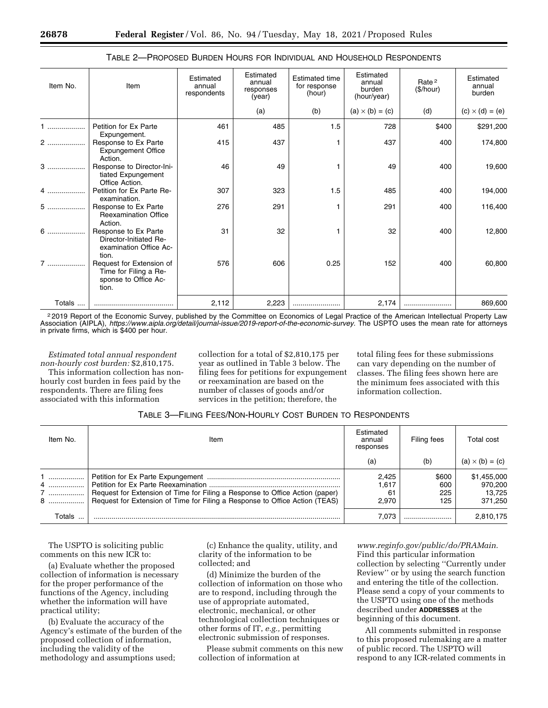| Item No. | Item                                                                               | Estimated<br>annual<br>respondents | Estimated<br>annual<br>responses<br>(year) | <b>Estimated time</b><br>for response<br>(hour) | Estimated<br>annual<br>burden<br>(hour/year) | Rate <sup>2</sup><br>(\$/hour) | Estimated<br>annual<br>burden |
|----------|------------------------------------------------------------------------------------|------------------------------------|--------------------------------------------|-------------------------------------------------|----------------------------------------------|--------------------------------|-------------------------------|
|          |                                                                                    |                                    | (a)                                        | (b)                                             | $(a) \times (b) = (c)$                       | (d)                            | $(c) \times (d) = (e)$        |
| .        | Petition for Ex Parte<br>Expungement.                                              | 461                                | 485                                        | 1.5                                             | 728                                          | \$400                          | \$291,200                     |
| 2        | Response to Ex Parte<br><b>Expungement Office</b><br>Action.                       | 415                                | 437                                        |                                                 | 437                                          | 400                            | 174,800                       |
| $3$      | Response to Director-Ini-<br>tiated Expungement<br>Office Action.                  | 46                                 | 49                                         |                                                 | 49                                           | 400                            | 19,600                        |
| 4        | Petition for Ex Parte Re-<br>examination.                                          | 307                                | 323                                        | 1.5                                             | 485                                          | 400                            | 194,000                       |
| $5$      | Response to Ex Parte<br><b>Reexamination Office</b><br>Action.                     | 276                                | 291                                        |                                                 | 291                                          | 400                            | 116,400                       |
| 6        | Response to Ex Parte<br>Director-Initiated Re-<br>examination Office Ac-<br>tion.  | 31                                 | 32                                         |                                                 | 32                                           | 400                            | 12,800                        |
| 7        | Request for Extension of<br>Time for Filing a Re-<br>sponse to Office Ac-<br>tion. | 576                                | 606                                        | 0.25                                            | 152                                          | 400                            | 60,800                        |
| Totals   |                                                                                    | 2,112                              | 2,223                                      |                                                 | 2,174                                        |                                | 869,600                       |

## TABLE 2—PROPOSED BURDEN HOURS FOR INDIVIDUAL AND HOUSEHOLD RESPONDENTS

<sup>2</sup> 2019 Report of the Economic Survey, published by the Committee on Economics of Legal Practice of the American Intellectual Property Law Association (AIPLA), *[https://www.aipla.org/detail/journal-issue/2019-report-of-the-economic-survey.](https://www.aipla.org/detail/journal-issue/2019-report-of-the-economic-survey)* The USPTO uses the mean rate for attorneys in private firms, which is \$400 per hour.

*Estimated total annual respondent non-hourly cost burden:* \$2,810,175.

This information collection has nonhourly cost burden in fees paid by the respondents. There are filing fees associated with this information

collection for a total of \$2,810,175 per year as outlined in Table 3 below. The filing fees for petitions for expungement or reexamination are based on the number of classes of goods and/or services in the petition; therefore, the

total filing fees for these submissions can vary depending on the number of classes. The filing fees shown here are the minimum fees associated with this information collection.

| TABLE 3-FILING FEES/NON-HOURLY COST BURDEN TO RESPONDENTS |  |
|-----------------------------------------------------------|--|
|-----------------------------------------------------------|--|

| Item No.    | Item                                                                                                                                                        | Estimated<br>annual<br>responses | Filing fees                | Total cost                                  |
|-------------|-------------------------------------------------------------------------------------------------------------------------------------------------------------|----------------------------------|----------------------------|---------------------------------------------|
|             |                                                                                                                                                             | (a)                              | (b)                        | $(a) \times (b) = (c)$                      |
| 1<br>7<br>8 | Request for Extension of Time for Filing a Response to Office Action (paper)<br>Request for Extension of Time for Filing a Response to Office Action (TEAS) | 2.425<br>1.617<br>61<br>2.970    | \$600<br>600<br>225<br>125 | \$1,455,000<br>970.200<br>13.725<br>371,250 |
| Totals      |                                                                                                                                                             | 7.073                            |                            | 2.810.175                                   |

The USPTO is soliciting public comments on this new ICR to:

(a) Evaluate whether the proposed collection of information is necessary for the proper performance of the functions of the Agency, including whether the information will have practical utility;

(b) Evaluate the accuracy of the Agency's estimate of the burden of the proposed collection of information, including the validity of the methodology and assumptions used;

(c) Enhance the quality, utility, and clarity of the information to be collected; and

(d) Minimize the burden of the collection of information on those who are to respond, including through the use of appropriate automated, electronic, mechanical, or other technological collection techniques or other forms of IT, *e.g.,* permitting electronic submission of responses.

Please submit comments on this new collection of information at

*[www.reginfo.gov/public/do/PRAMain.](http://www.reginfo.gov/public/do/PRAMain)*  Find this particular information collection by selecting ''Currently under Review'' or by using the search function and entering the title of the collection. Please send a copy of your comments to the USPTO using one of the methods described under **ADDRESSES** at the beginning of this document.

All comments submitted in response to this proposed rulemaking are a matter of public record. The USPTO will respond to any ICR-related comments in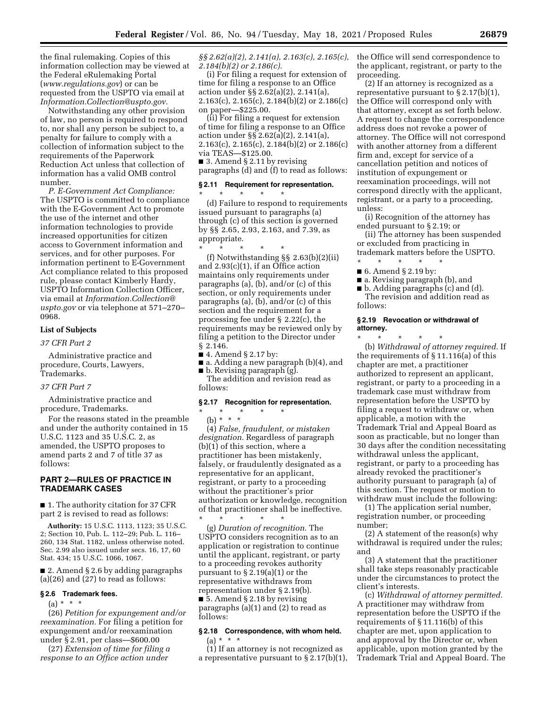the final rulemaking. Copies of this information collection may be viewed at the Federal eRulemaking Portal (*[www.regulations.gov](http://www.regulations.gov)*) or can be requested from the USPTO via email at *[Information.Collection@uspto.gov.](mailto:Information.Collection@uspto.gov)* 

Notwithstanding any other provision of law, no person is required to respond to, nor shall any person be subject to, a penalty for failure to comply with a collection of information subject to the requirements of the Paperwork Reduction Act unless that collection of information has a valid OMB control number.

*P. E-Government Act Compliance:*  The USPTO is committed to compliance with the E-Government Act to promote the use of the internet and other information technologies to provide increased opportunities for citizen access to Government information and services, and for other purposes. For information pertinent to E-Government Act compliance related to this proposed rule, please contact Kimberly Hardy, USPTO Information Collection Officer, via email at *[Information.Collection@](mailto:Information.Collection@uspto.gov) [uspto.gov](mailto:Information.Collection@uspto.gov)* or via telephone at 571–270– 0968.

### **List of Subjects**

*37 CFR Part 2* 

Administrative practice and procedure, Courts, Lawyers, Trademarks.

*37 CFR Part 7* 

Administrative practice and procedure, Trademarks.

For the reasons stated in the preamble and under the authority contained in 15 U.S.C. 1123 and 35 U.S.C. 2, as amended, the USPTO proposes to amend parts 2 and 7 of title 37 as follows:

# **PART 2—RULES OF PRACTICE IN TRADEMARK CASES**

■ 1. The authority citation for 37 CFR part 2 is revised to read as follows:

**Authority:** 15 U.S.C. 1113, 1123; 35 U.S.C. 2; Section 10, Pub. L. 112–29; Pub. L. 116– 260, 134 Stat. 1182, unless otherwise noted. Sec. 2.99 also issued under secs. 16, 17, 60 Stat. 434; 15 U.S.C. 1066, 1067.

■ 2. Amend § 2.6 by adding paragraphs (a)(26) and (27) to read as follows:

### **§ 2.6 Trademark fees.**

 $(a) * * * *$ 

(26) *Petition for expungement and/or reexamination.* For filing a petition for expungement and/or reexamination under § 2.91, per class—\$600.00

(27) *Extension of time for filing a response to an Office action under* 

*§§ 2.62(a)(2), 2.141(a), 2.163(c), 2.165(c), 2.184(b)(2) or 2.186(c).* 

(i) For filing a request for extension of time for filing a response to an Office action under §§ 2.62(a)(2), 2.141(a), 2.163(c), 2.165(c), 2.184(b)(2) or 2.186(c) on paper—\$225.00.

(ii) For filing a request for extension of time for filing a response to an Office action under §§ 2.62(a)(2), 2.141(a), 2.163(c), 2.165(c), 2.184(b)(2) or 2.186(c) via TEAS—\$125.00.

■ 3. Amend § 2.11 by revising paragraphs (d) and (f) to read as follows:

### **§ 2.11 Requirement for representation.**

\* \* \* \* \*

(d) Failure to respond to requirements issued pursuant to paragraphs (a) through (c) of this section is governed by §§ 2.65, 2.93, 2.163, and 7.39, as appropriate.

\* \* \* \* \* (f) Notwithstanding §§ 2.63(b)(2)(ii) and 2.93(c)(1), if an Office action maintains only requirements under paragraphs (a), (b), and/or (c) of this section, or only requirements under paragraphs (a), (b), and/or (c) of this section and the requirement for a processing fee under § 2.22(c), the requirements may be reviewed only by filing a petition to the Director under § 2.146.

■ 4. Amend § 2.17 by:

■ a. Adding a new paragraph (b)(4), and ■ b. Revising paragraph (g).

The addition and revision read as follows:

### **§ 2.17 Recognition for representation.**

\* \* \* \* \*

(b) \* \* \*

(4) *False, fraudulent, or mistaken designation.* Regardless of paragraph (b)(1) of this section, where a practitioner has been mistakenly, falsely, or fraudulently designated as a representative for an applicant, registrant, or party to a proceeding without the practitioner's prior authorization or knowledge, recognition of that practitioner shall be ineffective.

\* \* \* \* \* (g) *Duration of recognition.* The USPTO considers recognition as to an application or registration to continue until the applicant, registrant, or party to a proceeding revokes authority pursuant to § 2.19(a)(1) or the representative withdraws from representation under § 2.19(b). ■ 5. Amend § 2.18 by revising paragraphs (a)(1) and (2) to read as follows:

## **§ 2.18 Correspondence, with whom held.**

(a) \* \* \*

(1) If an attorney is not recognized as a representative pursuant to § 2.17(b)(1), the Office will send correspondence to the applicant, registrant, or party to the proceeding.

(2) If an attorney is recognized as a representative pursuant to  $\S 2.17(b)(1)$ , the Office will correspond only with that attorney, except as set forth below. A request to change the correspondence address does not revoke a power of attorney. The Office will not correspond with another attorney from a different firm and, except for service of a cancellation petition and notices of institution of expungement or reexamination proceedings, will not correspond directly with the applicant, registrant, or a party to a proceeding, unless:

(i) Recognition of the attorney has ended pursuant to § 2.19; or

(ii) The attorney has been suspended or excluded from practicing in trademark matters before the USPTO.

\* \* \* \* \* ■ 6. Amend § 2.19 by:

- 
- a. Revising paragraph (b), and
- b. Adding paragraphs (c) and (d). The revision and addition read as

follows:

#### **§ 2.19 Revocation or withdrawal of attorney.**

\* \* \* \* \* (b) *Withdrawal of attorney required.* If the requirements of § 11.116(a) of this chapter are met, a practitioner authorized to represent an applicant, registrant, or party to a proceeding in a trademark case must withdraw from representation before the USPTO by filing a request to withdraw or, when applicable, a motion with the Trademark Trial and Appeal Board as soon as practicable, but no longer than 30 days after the condition necessitating withdrawal unless the applicant, registrant, or party to a proceeding has already revoked the practitioner's authority pursuant to paragraph (a) of this section. The request or motion to withdraw must include the following:

(1) The application serial number, registration number, or proceeding number;

(2) A statement of the reason(s) why withdrawal is required under the rules; and

(3) A statement that the practitioner shall take steps reasonably practicable under the circumstances to protect the client's interests.

(c) *Withdrawal of attorney permitted.*  A practitioner may withdraw from representation before the USPTO if the requirements of § 11.116(b) of this chapter are met, upon application to and approval by the Director or, when applicable, upon motion granted by the Trademark Trial and Appeal Board. The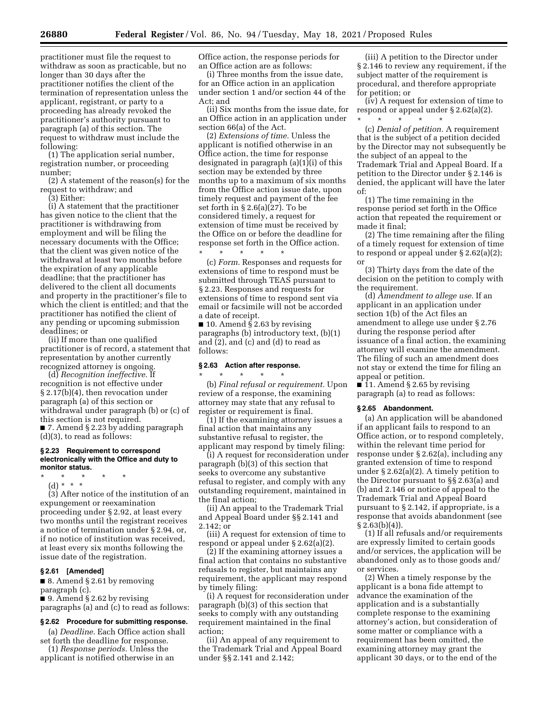practitioner must file the request to withdraw as soon as practicable, but no longer than 30 days after the practitioner notifies the client of the termination of representation unless the applicant, registrant, or party to a proceeding has already revoked the practitioner's authority pursuant to paragraph (a) of this section. The request to withdraw must include the following:

(1) The application serial number, registration number, or proceeding number;

(2) A statement of the reason(s) for the request to withdraw; and

(3) Either:

(i) A statement that the practitioner has given notice to the client that the practitioner is withdrawing from employment and will be filing the necessary documents with the Office; that the client was given notice of the withdrawal at least two months before the expiration of any applicable deadline; that the practitioner has delivered to the client all documents and property in the practitioner's file to which the client is entitled; and that the practitioner has notified the client of any pending or upcoming submission deadlines; or

(ii) If more than one qualified practitioner is of record, a statement that representation by another currently recognized attorney is ongoing.

(d) *Recognition ineffective.* If recognition is not effective under § 2.17(b)(4), then revocation under paragraph (a) of this section or withdrawal under paragraph (b) or (c) of this section is not required. ■ 7. Amend § 2.23 by adding paragraph (d)(3), to read as follows:

### **§ 2.23 Requirement to correspond electronically with the Office and duty to monitor status.**

- \* \* \* \* \*
	- (d) \* \* \*

(3) After notice of the institution of an expungement or reexamination proceeding under § 2.92, at least every two months until the registrant receives a notice of termination under § 2.94, or, if no notice of institution was received, at least every six months following the issue date of the registration.

#### **§ 2.61 [Amended]**

■ 8. Amend § 2.61 by removing paragraph (c).

■ 9. Amend § 2.62 by revising

paragraphs (a) and (c) to read as follows:

# **§ 2.62 Procedure for submitting response.**

(a) *Deadline.* Each Office action shall set forth the deadline for response.

(1) *Response periods.* Unless the applicant is notified otherwise in an Office action, the response periods for an Office action are as follows:

(i) Three months from the issue date, for an Office action in an application under section 1 and/or section 44 of the Act; and

(ii) Six months from the issue date, for an Office action in an application under section 66(a) of the Act.

(2) *Extensions of time.* Unless the applicant is notified otherwise in an Office action, the time for response designated in paragraph (a)(1)(i) of this section may be extended by three months up to a maximum of six months from the Office action issue date, upon timely request and payment of the fee set forth in § 2.6(a)(27). To be considered timely, a request for extension of time must be received by the Office on or before the deadline for response set forth in the Office action. \* \* \* \* \*

(c) *Form.* Responses and requests for extensions of time to respond must be submitted through TEAS pursuant to § 2.23. Responses and requests for extensions of time to respond sent via email or facsimile will not be accorded a date of receipt.

■ 10. Amend § 2.63 by revising paragraphs (b) introductory text, (b)(1) and (2), and (c) and (d) to read as follows:

#### **§ 2.63 Action after response.**

\* \* \* \* \* (b) *Final refusal or requirement.* Upon review of a response, the examining attorney may state that any refusal to register or requirement is final.

(1) If the examining attorney issues a final action that maintains any substantive refusal to register, the applicant may respond by timely filing:

(i) A request for reconsideration under paragraph (b)(3) of this section that seeks to overcome any substantive refusal to register, and comply with any outstanding requirement, maintained in the final action;

(ii) An appeal to the Trademark Trial and Appeal Board under §§ 2.141 and 2.142; or

(iii) A request for extension of time to respond or appeal under § 2.62(a)(2).

(2) If the examining attorney issues a final action that contains no substantive refusals to register, but maintains any requirement, the applicant may respond by timely filing:

(i) A request for reconsideration under paragraph (b)(3) of this section that seeks to comply with any outstanding requirement maintained in the final action;

(ii) An appeal of any requirement to the Trademark Trial and Appeal Board under §§ 2.141 and 2.142;

(iii) A petition to the Director under § 2.146 to review any requirement, if the subject matter of the requirement is procedural, and therefore appropriate for petition; or

(iv) A request for extension of time to respond or appeal under § 2.62(a)(2). \* \* \* \* \*

(c) *Denial of petition.* A requirement that is the subject of a petition decided by the Director may not subsequently be the subject of an appeal to the Trademark Trial and Appeal Board. If a petition to the Director under § 2.146 is denied, the applicant will have the later of:

(1) The time remaining in the response period set forth in the Office action that repeated the requirement or made it final;

(2) The time remaining after the filing of a timely request for extension of time to respond or appeal under § 2.62(a)(2); or

(3) Thirty days from the date of the decision on the petition to comply with the requirement.

(d) *Amendment to allege use.* If an applicant in an application under section 1(b) of the Act files an amendment to allege use under § 2.76 during the response period after issuance of a final action, the examining attorney will examine the amendment. The filing of such an amendment does not stay or extend the time for filing an appeal or petition.

■ 11. Amend § 2.65 by revising paragraph (a) to read as follows:

## **§ 2.65 Abandonment.**

(a) An application will be abandoned if an applicant fails to respond to an Office action, or to respond completely, within the relevant time period for response under § 2.62(a), including any granted extension of time to respond under § 2.62(a)(2). A timely petition to the Director pursuant to §§ 2.63(a) and (b) and 2.146 or notice of appeal to the Trademark Trial and Appeal Board pursuant to § 2.142, if appropriate, is a response that avoids abandonment (see  $§ 2.63(b)(4)$ .

(1) If all refusals and/or requirements are expressly limited to certain goods and/or services, the application will be abandoned only as to those goods and/ or services.

(2) When a timely response by the applicant is a bona fide attempt to advance the examination of the application and is a substantially complete response to the examining attorney's action, but consideration of some matter or compliance with a requirement has been omitted, the examining attorney may grant the applicant 30 days, or to the end of the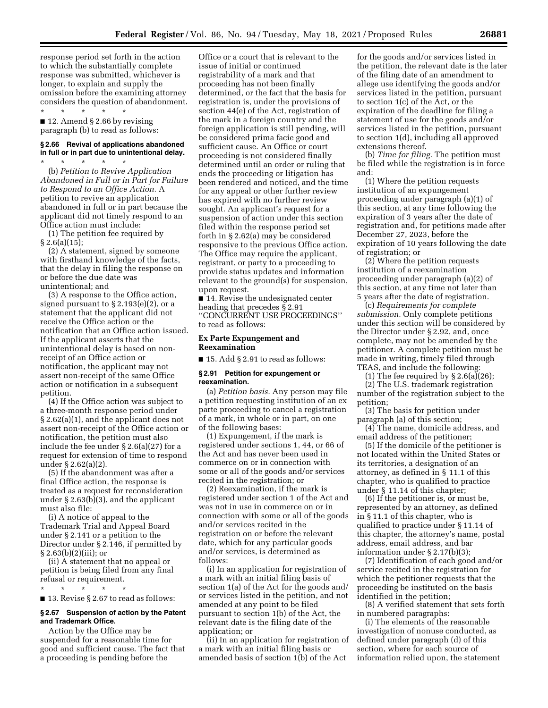response period set forth in the action to which the substantially complete response was submitted, whichever is longer, to explain and supply the omission before the examining attorney considers the question of abandonment.

\* \* \* \* \* ■ 12. Amend § 2.66 by revising paragraph (b) to read as follows:

### **§ 2.66 Revival of applications abandoned in full or in part due to unintentional delay.**

\* \* \* \* \* (b) *Petition to Revive Application Abandoned in Full or in Part for Failure to Respond to an Office Action.* A petition to revive an application abandoned in full or in part because the applicant did not timely respond to an Office action must include:

(1) The petition fee required by  $§ 2.6(a)(15);$ 

(2) A statement, signed by someone with firsthand knowledge of the facts, that the delay in filing the response on or before the due date was unintentional; and

(3) A response to the Office action, signed pursuant to  $\S 2.193(e)(2)$ , or a statement that the applicant did not receive the Office action or the notification that an Office action issued. If the applicant asserts that the unintentional delay is based on nonreceipt of an Office action or notification, the applicant may not assert non-receipt of the same Office action or notification in a subsequent petition.

(4) If the Office action was subject to a three-month response period under § 2.62(a)(1), and the applicant does not assert non-receipt of the Office action or notification, the petition must also include the fee under § 2.6(a)(27) for a request for extension of time to respond under § 2.62(a)(2).

(5) If the abandonment was after a final Office action, the response is treated as a request for reconsideration under § 2.63(b)(3), and the applicant must also file:

(i) A notice of appeal to the Trademark Trial and Appeal Board under § 2.141 or a petition to the Director under § 2.146, if permitted by  $§ 2.63(b)(2)(iii);$  or

(ii) A statement that no appeal or petition is being filed from any final refusal or requirement. \* \* \* \* \*

■ 13. Revise § 2.67 to read as follows:

### **§ 2.67 Suspension of action by the Patent and Trademark Office.**

Action by the Office may be suspended for a reasonable time for good and sufficient cause. The fact that a proceeding is pending before the

Office or a court that is relevant to the issue of initial or continued registrability of a mark and that proceeding has not been finally determined, or the fact that the basis for registration is, under the provisions of section 44(e) of the Act, registration of the mark in a foreign country and the foreign application is still pending, will be considered prima facie good and sufficient cause. An Office or court proceeding is not considered finally determined until an order or ruling that ends the proceeding or litigation has been rendered and noticed, and the time for any appeal or other further review has expired with no further review sought. An applicant's request for a suspension of action under this section filed within the response period set forth in § 2.62(a) may be considered responsive to the previous Office action. The Office may require the applicant, registrant, or party to a proceeding to provide status updates and information relevant to the ground(s) for suspension, upon request.

■ 14. Revise the undesignated center heading that precedes § 2.91 ''CONCURRENT USE PROCEEDINGS'' to read as follows:

#### **Ex Parte Expungement and Reexamination**

 $\blacksquare$  15. Add § 2.91 to read as follows:

# **§ 2.91 Petition for expungement or reexamination.**

(a) *Petition basis.* Any person may file a petition requesting institution of an ex parte proceeding to cancel a registration of a mark, in whole or in part, on one of the following bases:

(1) Expungement, if the mark is registered under sections 1, 44, or 66 of the Act and has never been used in commerce on or in connection with some or all of the goods and/or services recited in the registration; or

(2) Reexamination, if the mark is registered under section 1 of the Act and was not in use in commerce on or in connection with some or all of the goods and/or services recited in the registration on or before the relevant date, which for any particular goods and/or services, is determined as follows:

(i) In an application for registration of a mark with an initial filing basis of section 1(a) of the Act for the goods and/ or services listed in the petition, and not amended at any point to be filed pursuant to section 1(b) of the Act, the relevant date is the filing date of the application; or

(ii) In an application for registration of a mark with an initial filing basis or amended basis of section 1(b) of the Act

for the goods and/or services listed in the petition, the relevant date is the later of the filing date of an amendment to allege use identifying the goods and/or services listed in the petition, pursuant to section 1(c) of the Act, or the expiration of the deadline for filing a statement of use for the goods and/or services listed in the petition, pursuant to section 1(d), including all approved extensions thereof.

(b) *Time for filing.* The petition must be filed while the registration is in force and:

(1) Where the petition requests institution of an expungement proceeding under paragraph (a)(1) of this section, at any time following the expiration of 3 years after the date of registration and, for petitions made after December 27, 2023, before the expiration of 10 years following the date of registration; or

(2) Where the petition requests institution of a reexamination proceeding under paragraph (a)(2) of this section, at any time not later than 5 years after the date of registration.

(c) *Requirements for complete submission.* Only complete petitions under this section will be considered by the Director under § 2.92, and, once complete, may not be amended by the petitioner. A complete petition must be made in writing, timely filed through TEAS, and include the following:

(1) The fee required by § 2.6(a)(26); (2) The U.S. trademark registration

number of the registration subject to the petition;

(3) The basis for petition under paragraph (a) of this section;

(4) The name, domicile address, and email address of the petitioner;

(5) If the domicile of the petitioner is not located within the United States or its territories, a designation of an attorney, as defined in § 11.1 of this chapter, who is qualified to practice under § 11.14 of this chapter;

(6) If the petitioner is, or must be, represented by an attorney, as defined in § 11.1 of this chapter, who is qualified to practice under § 11.14 of this chapter, the attorney's name, postal address, email address, and bar information under § 2.17(b)(3);

(7) Identification of each good and/or service recited in the registration for which the petitioner requests that the proceeding be instituted on the basis identified in the petition;

(8) A verified statement that sets forth in numbered paragraphs:

(i) The elements of the reasonable investigation of nonuse conducted, as defined under paragraph (d) of this section, where for each source of information relied upon, the statement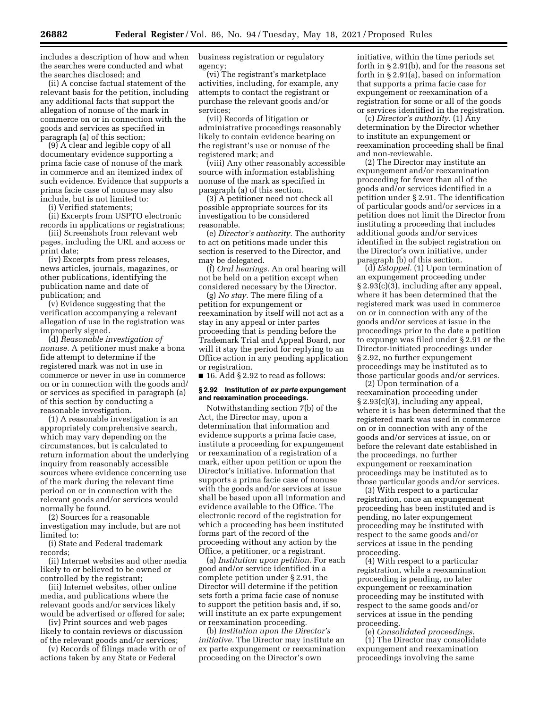includes a description of how and when the searches were conducted and what the searches disclosed; and

(ii) A concise factual statement of the relevant basis for the petition, including any additional facts that support the allegation of nonuse of the mark in commerce on or in connection with the goods and services as specified in paragraph (a) of this section;

(9) A clear and legible copy of all documentary evidence supporting a prima facie case of nonuse of the mark in commerce and an itemized index of such evidence. Evidence that supports a prima facie case of nonuse may also include, but is not limited to:

(i) Verified statements;

(ii) Excerpts from USPTO electronic records in applications or registrations;

(iii) Screenshots from relevant web pages, including the URL and access or print date;

(iv) Excerpts from press releases, news articles, journals, magazines, or other publications, identifying the publication name and date of publication; and

(v) Evidence suggesting that the verification accompanying a relevant allegation of use in the registration was improperly signed.

(d) *Reasonable investigation of nonuse.* A petitioner must make a bona fide attempt to determine if the registered mark was not in use in commerce or never in use in commerce on or in connection with the goods and/ or services as specified in paragraph (a) of this section by conducting a reasonable investigation.

(1) A reasonable investigation is an appropriately comprehensive search, which may vary depending on the circumstances, but is calculated to return information about the underlying inquiry from reasonably accessible sources where evidence concerning use of the mark during the relevant time period on or in connection with the relevant goods and/or services would normally be found.

(2) Sources for a reasonable investigation may include, but are not limited to:

(i) State and Federal trademark records;

(ii) Internet websites and other media likely to or believed to be owned or controlled by the registrant;

(iii) Internet websites, other online media, and publications where the relevant goods and/or services likely would be advertised or offered for sale;

(iv) Print sources and web pages likely to contain reviews or discussion of the relevant goods and/or services;

(v) Records of filings made with or of actions taken by any State or Federal

business registration or regulatory agency;

(vi) The registrant's marketplace activities, including, for example, any attempts to contact the registrant or purchase the relevant goods and/or services;

(vii) Records of litigation or administrative proceedings reasonably likely to contain evidence bearing on the registrant's use or nonuse of the registered mark; and

(viii) Any other reasonably accessible source with information establishing nonuse of the mark as specified in paragraph (a) of this section.

(3) A petitioner need not check all possible appropriate sources for its investigation to be considered reasonable.

(e) *Director's authority.* The authority to act on petitions made under this section is reserved to the Director, and may be delegated.

(f) *Oral hearings.* An oral hearing will not be held on a petition except when considered necessary by the Director.

(g) *No stay.* The mere filing of a petition for expungement or reexamination by itself will not act as a stay in any appeal or inter partes proceeding that is pending before the Trademark Trial and Appeal Board, nor will it stay the period for replying to an Office action in any pending application or registration.

■ 16. Add § 2.92 to read as follows:

#### **§ 2.92 Institution of** *ex parte* **expungement and reexamination proceedings.**

Notwithstanding section 7(b) of the Act, the Director may, upon a determination that information and evidence supports a prima facie case, institute a proceeding for expungement or reexamination of a registration of a mark, either upon petition or upon the Director's initiative. Information that supports a prima facie case of nonuse with the goods and/or services at issue shall be based upon all information and evidence available to the Office. The electronic record of the registration for which a proceeding has been instituted forms part of the record of the proceeding without any action by the Office, a petitioner, or a registrant.

(a) *Institution upon petition.* For each good and/or service identified in a complete petition under § 2.91, the Director will determine if the petition sets forth a prima facie case of nonuse to support the petition basis and, if so, will institute an ex parte expungement or reexamination proceeding.

(b) *Institution upon the Director's initiative.* The Director may institute an ex parte expungement or reexamination proceeding on the Director's own

initiative, within the time periods set forth in § 2.91(b), and for the reasons set forth in § 2.91(a), based on information that supports a prima facie case for expungement or reexamination of a registration for some or all of the goods or services identified in the registration.

(c) *Director's authority.* (1) Any determination by the Director whether to institute an expungement or reexamination proceeding shall be final and non-reviewable.

(2) The Director may institute an expungement and/or reexamination proceeding for fewer than all of the goods and/or services identified in a petition under § 2.91. The identification of particular goods and/or services in a petition does not limit the Director from instituting a proceeding that includes additional goods and/or services identified in the subject registration on the Director's own initiative, under paragraph (b) of this section.

(d) *Estoppel.* (1) Upon termination of an expungement proceeding under § 2.93(c)(3), including after any appeal, where it has been determined that the registered mark was used in commerce on or in connection with any of the goods and/or services at issue in the proceedings prior to the date a petition to expunge was filed under § 2.91 or the Director-initiated proceedings under § 2.92, no further expungement proceedings may be instituted as to those particular goods and/or services.

(2) Upon termination of a reexamination proceeding under § 2.93(c)(3), including any appeal, where it is has been determined that the registered mark was used in commerce on or in connection with any of the goods and/or services at issue, on or before the relevant date established in the proceedings, no further expungement or reexamination proceedings may be instituted as to those particular goods and/or services.

(3) With respect to a particular registration, once an expungement proceeding has been instituted and is pending, no later expungement proceeding may be instituted with respect to the same goods and/or services at issue in the pending proceeding.

(4) With respect to a particular registration, while a reexamination proceeding is pending, no later expungement or reexamination proceeding may be instituted with respect to the same goods and/or services at issue in the pending proceeding.

(e) *Consolidated proceedings.* 

(1) The Director may consolidate expungement and reexamination proceedings involving the same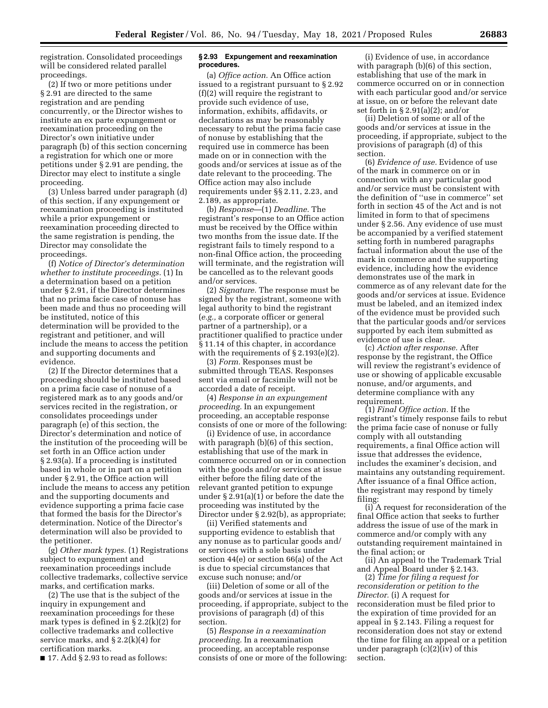registration. Consolidated proceedings will be considered related parallel proceedings.

(2) If two or more petitions under § 2.91 are directed to the same registration and are pending concurrently, or the Director wishes to institute an ex parte expungement or reexamination proceeding on the Director's own initiative under paragraph (b) of this section concerning a registration for which one or more petitions under § 2.91 are pending, the Director may elect to institute a single proceeding.

(3) Unless barred under paragraph (d) of this section, if any expungement or reexamination proceeding is instituted while a prior expungement or reexamination proceeding directed to the same registration is pending, the Director may consolidate the proceedings.

(f) *Notice of Director's determination whether to institute proceedings.* (1) In a determination based on a petition under § 2.91, if the Director determines that no prima facie case of nonuse has been made and thus no proceeding will be instituted, notice of this determination will be provided to the registrant and petitioner, and will include the means to access the petition and supporting documents and evidence.

(2) If the Director determines that a proceeding should be instituted based on a prima facie case of nonuse of a registered mark as to any goods and/or services recited in the registration, or consolidates proceedings under paragraph (e) of this section, the Director's determination and notice of the institution of the proceeding will be set forth in an Office action under § 2.93(a). If a proceeding is instituted based in whole or in part on a petition under § 2.91, the Office action will include the means to access any petition and the supporting documents and evidence supporting a prima facie case that formed the basis for the Director's determination. Notice of the Director's determination will also be provided to the petitioner.

(g) *Other mark types.* (1) Registrations subject to expungement and reexamination proceedings include collective trademarks, collective service marks, and certification marks.

(2) The use that is the subject of the inquiry in expungement and reexamination proceedings for these mark types is defined in § 2.2(k)(2) for collective trademarks and collective service marks, and  $\S 2.2(k)(4)$  for certification marks.

■ 17. Add § 2.93 to read as follows:

### **§ 2.93 Expungement and reexamination procedures.**

(a) *Office action.* An Office action issued to a registrant pursuant to § 2.92 (f)(2) will require the registrant to provide such evidence of use, information, exhibits, affidavits, or declarations as may be reasonably necessary to rebut the prima facie case of nonuse by establishing that the required use in commerce has been made on or in connection with the goods and/or services at issue as of the date relevant to the proceeding. The Office action may also include requirements under §§ 2.11, 2.23, and 2.189, as appropriate.

(b) *Response*—(1) *Deadline.* The registrant's response to an Office action must be received by the Office within two months from the issue date. If the registrant fails to timely respond to a non-final Office action, the proceeding will terminate, and the registration will be cancelled as to the relevant goods and/or services.

(2) *Signature.* The response must be signed by the registrant, someone with legal authority to bind the registrant (*e.g.,* a corporate officer or general partner of a partnership), or a practitioner qualified to practice under § 11.14 of this chapter, in accordance with the requirements of  $\S 2.193(e)(2)$ .

(3) *Form.* Responses must be submitted through TEAS. Responses sent via email or facsimile will not be accorded a date of receipt.

(4) *Response in an expungement proceeding.* In an expungement proceeding, an acceptable response consists of one or more of the following:

(i) Evidence of use, in accordance with paragraph (b)(6) of this section, establishing that use of the mark in commerce occurred on or in connection with the goods and/or services at issue either before the filing date of the relevant granted petition to expunge under § 2.91(a)(1) or before the date the proceeding was instituted by the Director under § 2.92(b), as appropriate;

(ii) Verified statements and supporting evidence to establish that any nonuse as to particular goods and/ or services with a sole basis under section 44(e) or section 66(a) of the Act is due to special circumstances that excuse such nonuse; and/or

(iii) Deletion of some or all of the goods and/or services at issue in the proceeding, if appropriate, subject to the provisions of paragraph (d) of this section.

(5) *Response in a reexamination proceeding.* In a reexamination proceeding, an acceptable response consists of one or more of the following:

(i) Evidence of use, in accordance with paragraph (b)(6) of this section, establishing that use of the mark in commerce occurred on or in connection with each particular good and/or service at issue, on or before the relevant date set forth in § 2.91(a)(2); and/or

(ii) Deletion of some or all of the goods and/or services at issue in the proceeding, if appropriate, subject to the provisions of paragraph (d) of this section.

(6) *Evidence of use.* Evidence of use of the mark in commerce on or in connection with any particular good and/or service must be consistent with the definition of ''use in commerce'' set forth in section 45 of the Act and is not limited in form to that of specimens under § 2.56. Any evidence of use must be accompanied by a verified statement setting forth in numbered paragraphs factual information about the use of the mark in commerce and the supporting evidence, including how the evidence demonstrates use of the mark in commerce as of any relevant date for the goods and/or services at issue. Evidence must be labeled, and an itemized index of the evidence must be provided such that the particular goods and/or services supported by each item submitted as evidence of use is clear.

(c) *Action after response.* After response by the registrant, the Office will review the registrant's evidence of use or showing of applicable excusable nonuse, and/or arguments, and determine compliance with any requirement.

(1) *Final Office action.* If the registrant's timely response fails to rebut the prima facie case of nonuse or fully comply with all outstanding requirements, a final Office action will issue that addresses the evidence, includes the examiner's decision, and maintains any outstanding requirement. After issuance of a final Office action, the registrant may respond by timely filing:

(i) A request for reconsideration of the final Office action that seeks to further address the issue of use of the mark in commerce and/or comply with any outstanding requirement maintained in the final action; or

(ii) An appeal to the Trademark Trial and Appeal Board under § 2.143.

(2) *Time for filing a request for reconsideration or petition to the Director.* (i) A request for reconsideration must be filed prior to the expiration of time provided for an appeal in § 2.143. Filing a request for reconsideration does not stay or extend the time for filing an appeal or a petition under paragraph (c)(2)(iv) of this section.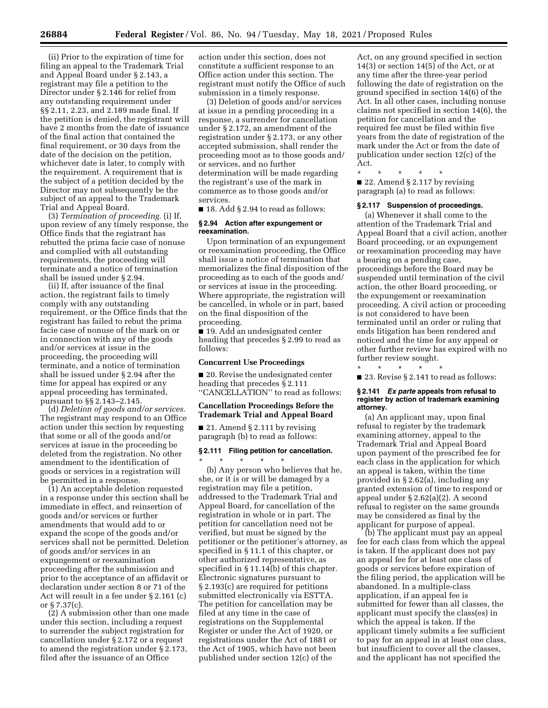(ii) Prior to the expiration of time for filing an appeal to the Trademark Trial and Appeal Board under § 2.143, a registrant may file a petition to the Director under § 2.146 for relief from any outstanding requirement under §§ 2.11, 2.23, and 2.189 made final. If the petition is denied, the registrant will have 2 months from the date of issuance of the final action that contained the final requirement, or 30 days from the date of the decision on the petition, whichever date is later, to comply with the requirement. A requirement that is the subject of a petition decided by the Director may not subsequently be the subject of an appeal to the Trademark Trial and Appeal Board.

(3) *Termination of proceeding.* (i) If, upon review of any timely response, the Office finds that the registrant has rebutted the prima facie case of nonuse and complied with all outstanding requirements, the proceeding will terminate and a notice of termination shall be issued under § 2.94.

(ii) If, after issuance of the final action, the registrant fails to timely comply with any outstanding requirement, or the Office finds that the registrant has failed to rebut the prima facie case of nonuse of the mark on or in connection with any of the goods and/or services at issue in the proceeding, the proceeding will terminate, and a notice of termination shall be issued under § 2.94 after the time for appeal has expired or any appeal proceeding has terminated, pursuant to §§ 2.143–2.145.

(d) *Deletion of goods and/or services.*  The registrant may respond to an Office action under this section by requesting that some or all of the goods and/or services at issue in the proceeding be deleted from the registration. No other amendment to the identification of goods or services in a registration will be permitted in a response.

(1) An acceptable deletion requested in a response under this section shall be immediate in effect, and reinsertion of goods and/or services or further amendments that would add to or expand the scope of the goods and/or services shall not be permitted. Deletion of goods and/or services in an expungement or reexamination proceeding after the submission and prior to the acceptance of an affidavit or declaration under section 8 or 71 of the Act will result in a fee under § 2.161 (c) or § 7.37(c).

(2) A submission other than one made under this section, including a request to surrender the subject registration for cancellation under § 2.172 or a request to amend the registration under § 2.173, filed after the issuance of an Office

action under this section, does not constitute a sufficient response to an Office action under this section. The registrant must notify the Office of such submission in a timely response.

(3) Deletion of goods and/or services at issue in a pending proceeding in a response, a surrender for cancellation under § 2.172, an amendment of the registration under § 2.173, or any other accepted submission, shall render the proceeding moot as to those goods and/ or services, and no further determination will be made regarding the registrant's use of the mark in commerce as to those goods and/or services.

■ 18. Add § 2.94 to read as follows:

### **§ 2.94 Action after expungement or reexamination.**

Upon termination of an expungement or reexamination proceeding, the Office shall issue a notice of termination that memorializes the final disposition of the proceeding as to each of the goods and/ or services at issue in the proceeding. Where appropriate, the registration will be cancelled, in whole or in part, based on the final disposition of the proceeding.

■ 19. Add an undesignated center heading that precedes § 2.99 to read as follows:

### **Concurrent Use Proceedings**

■ 20. Revise the undesignated center heading that precedes § 2.111 ''CANCELLATION'' to read as follows:

### **Cancellation Proceedings Before the Trademark Trial and Appeal Board**

■ 21. Amend § 2.111 by revising paragraph (b) to read as follows:

\* \* \* \* \*

### **§ 2.111 Filing petition for cancellation.**

(b) Any person who believes that he, she, or it is or will be damaged by a registration may file a petition, addressed to the Trademark Trial and Appeal Board, for cancellation of the registration in whole or in part. The petition for cancellation need not be verified, but must be signed by the petitioner or the petitioner's attorney, as specified in § 11.1 of this chapter, or other authorized representative, as specified in § 11.14(b) of this chapter. Electronic signatures pursuant to § 2.193(c) are required for petitions submitted electronically via ESTTA. The petition for cancellation may be filed at any time in the case of registrations on the Supplemental Register or under the Act of 1920, or registrations under the Act of 1881 or the Act of 1905, which have not been published under section 12(c) of the

Act, on any ground specified in section 14(3) or section 14(5) of the Act, or at any time after the three-year period following the date of registration on the ground specified in section 14(6) of the Act. In all other cases, including nonuse claims not specified in section 14(6), the petition for cancellation and the required fee must be filed within five years from the date of registration of the mark under the Act or from the date of publication under section 12(c) of the Act.

\* \* \* \* \*

■ 22. Amend § 2.117 by revising paragraph (a) to read as follows:

### **§ 2.117 Suspension of proceedings.**

(a) Whenever it shall come to the attention of the Trademark Trial and Appeal Board that a civil action, another Board proceeding, or an expungement or reexamination proceeding may have a bearing on a pending case, proceedings before the Board may be suspended until termination of the civil action, the other Board proceeding, or the expungement or reexamination proceeding. A civil action or proceeding is not considered to have been terminated until an order or ruling that ends litigation has been rendered and noticed and the time for any appeal or other further review has expired with no further review sought.

\* \* \* \* \* ■ 23. Revise § 2.141 to read as follows:

#### **§ 2.141** *Ex parte* **appeals from refusal to register by action of trademark examining attorney.**

(a) An applicant may, upon final refusal to register by the trademark examining attorney, appeal to the Trademark Trial and Appeal Board upon payment of the prescribed fee for each class in the application for which an appeal is taken, within the time provided in § 2.62(a), including any granted extension of time to respond or appeal under § 2.62(a)(2). A second refusal to register on the same grounds may be considered as final by the applicant for purpose of appeal.

(b) The applicant must pay an appeal fee for each class from which the appeal is taken. If the applicant does not pay an appeal fee for at least one class of goods or services before expiration of the filing period, the application will be abandoned. In a multiple-class application, if an appeal fee is submitted for fewer than all classes, the applicant must specify the class(es) in which the appeal is taken. If the applicant timely submits a fee sufficient to pay for an appeal in at least one class, but insufficient to cover all the classes, and the applicant has not specified the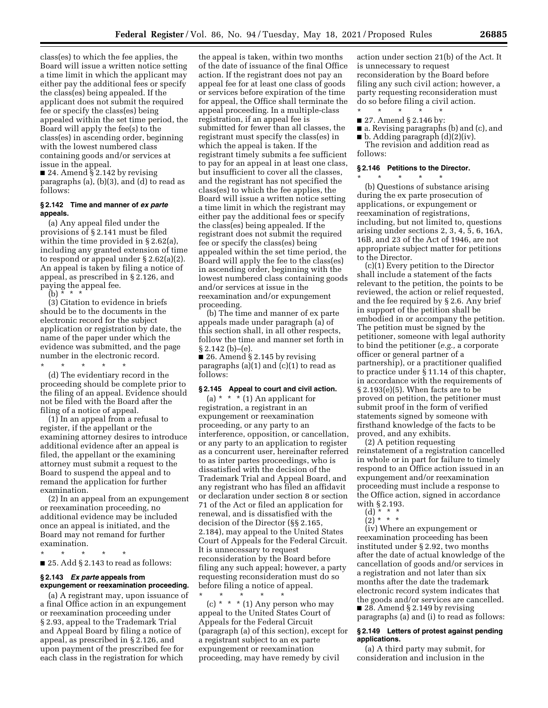class(es) to which the fee applies, the Board will issue a written notice setting a time limit in which the applicant may either pay the additional fees or specify the class(es) being appealed. If the applicant does not submit the required fee or specify the class(es) being appealed within the set time period, the Board will apply the fee(s) to the class(es) in ascending order, beginning with the lowest numbered class containing goods and/or services at issue in the appeal.

■ 24. Amend § 2.142 by revising paragraphs (a), (b)(3), and (d) to read as follows:

#### **§ 2.142 Time and manner of** *ex parte*  **appeals.**

(a) Any appeal filed under the provisions of § 2.141 must be filed within the time provided in § 2.62(a), including any granted extension of time to respond or appeal under § 2.62(a)(2). An appeal is taken by filing a notice of appeal, as prescribed in § 2.126, and paying the appeal fee.

(b)  $* * * *$ 

(3) Citation to evidence in briefs should be to the documents in the electronic record for the subject application or registration by date, the name of the paper under which the evidence was submitted, and the page number in the electronic record. \* \* \* \* \*

(d) The evidentiary record in the proceeding should be complete prior to the filing of an appeal. Evidence should not be filed with the Board after the filing of a notice of appeal.

(1) In an appeal from a refusal to register, if the appellant or the examining attorney desires to introduce additional evidence after an appeal is filed, the appellant or the examining attorney must submit a request to the Board to suspend the appeal and to remand the application for further examination.

(2) In an appeal from an expungement or reexamination proceeding, no additional evidence may be included once an appeal is initiated, and the Board may not remand for further examination.

\* \* \* \* \*

■ 25. Add § 2.143 to read as follows:

### **§ 2.143** *Ex parte* **appeals from expungement or reexamination proceeding.**

(a) A registrant may, upon issuance of a final Office action in an expungement or reexamination proceeding under § 2.93, appeal to the Trademark Trial and Appeal Board by filing a notice of appeal, as prescribed in § 2.126, and upon payment of the prescribed fee for each class in the registration for which

the appeal is taken, within two months of the date of issuance of the final Office action. If the registrant does not pay an appeal fee for at least one class of goods or services before expiration of the time for appeal, the Office shall terminate the appeal proceeding. In a multiple-class registration, if an appeal fee is submitted for fewer than all classes, the registrant must specify the class(es) in which the appeal is taken. If the registrant timely submits a fee sufficient to pay for an appeal in at least one class, but insufficient to cover all the classes, and the registrant has not specified the class(es) to which the fee applies, the Board will issue a written notice setting a time limit in which the registrant may either pay the additional fees or specify the class(es) being appealed. If the registrant does not submit the required fee or specify the class(es) being appealed within the set time period, the Board will apply the fee to the class(es) in ascending order, beginning with the lowest numbered class containing goods and/or services at issue in the reexamination and/or expungement proceeding.

(b) The time and manner of ex parte appeals made under paragraph (a) of this section shall, in all other respects, follow the time and manner set forth in § 2.142 (b)–(e).

 $\blacksquare$  26. Amend § 2.145 by revising paragraphs  $(a)(1)$  and  $(c)(1)$  to read as follows:

### **§ 2.145 Appeal to court and civil action.**

(a)  $*$   $*$  (1) An applicant for registration, a registrant in an expungement or reexamination proceeding, or any party to an interference, opposition, or cancellation, or any party to an application to register as a concurrent user, hereinafter referred to as inter partes proceedings, who is dissatisfied with the decision of the Trademark Trial and Appeal Board, and any registrant who has filed an affidavit or declaration under section 8 or section 71 of the Act or filed an application for renewal, and is dissatisfied with the decision of the Director (§§ 2.165, 2.184), may appeal to the United States Court of Appeals for the Federal Circuit. It is unnecessary to request reconsideration by the Board before filing any such appeal; however, a party requesting reconsideration must do so before filing a notice of appeal.

\* \* \* \* \* (c)  $*$   $*$   $*$  (1) Any person who may appeal to the United States Court of Appeals for the Federal Circuit (paragraph (a) of this section), except for a registrant subject to an ex parte expungement or reexamination proceeding, may have remedy by civil

action under section 21(b) of the Act. It is unnecessary to request reconsideration by the Board before filing any such civil action; however, a party requesting reconsideration must do so before filing a civil action.

\* \* \* \* \* ■ 27. Amend § 2.146 by:

\* \* \* \* \*

- a. Revising paragraphs (b) and (c), and
- b. Adding paragraph (d)(2)(iv). The revision and addition read as follows:

#### **§ 2.146 Petitions to the Director.**

(b) Questions of substance arising during the ex parte prosecution of applications, or expungement or reexamination of registrations, including, but not limited to, questions arising under sections 2, 3, 4, 5, 6, 16A, 16B, and 23 of the Act of 1946, are not appropriate subject matter for petitions to the Director.

(c)(1) Every petition to the Director shall include a statement of the facts relevant to the petition, the points to be reviewed, the action or relief requested, and the fee required by § 2.6. Any brief in support of the petition shall be embodied in or accompany the petition. The petition must be signed by the petitioner, someone with legal authority to bind the petitioner (*e.g.,* a corporate officer or general partner of a partnership), or a practitioner qualified to practice under § 11.14 of this chapter, in accordance with the requirements of § 2.193(e)(5). When facts are to be proved on petition, the petitioner must submit proof in the form of verified statements signed by someone with firsthand knowledge of the facts to be proved, and any exhibits.

(2) A petition requesting reinstatement of a registration cancelled in whole or in part for failure to timely respond to an Office action issued in an expungement and/or reexamination proceeding must include a response to the Office action, signed in accordance with § 2.193.

(2) \* \* \*

(iv) Where an expungement or reexamination proceeding has been instituted under § 2.92, two months after the date of actual knowledge of the cancellation of goods and/or services in a registration and not later than six months after the date the trademark electronic record system indicates that the goods and/or services are cancelled. ■ 28. Amend § 2.149 by revising paragraphs (a) and (i) to read as follows:

### **§ 2.149 Letters of protest against pending applications.**

(a) A third party may submit, for consideration and inclusion in the

<sup>(</sup>d) \* \* \*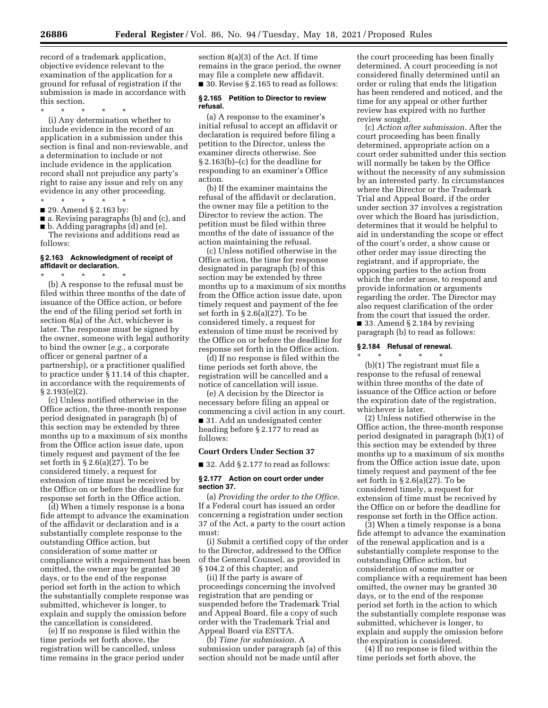record of a trademark application, objective evidence relevant to the examination of the application for a ground for refusal of registration if the submission is made in accordance with this section.

\* \* \* \* \*

(i) Any determination whether to include evidence in the record of an application in a submission under this section is final and non-reviewable, and a determination to include or not include evidence in the application record shall not prejudice any party's right to raise any issue and rely on any evidence in any other proceeding.

\* \* \* \* \* ■ 29. Amend § 2.163 by:

■ a. Revising paragraphs (b) and (c), and

■ b. Adding paragraphs (d) and (e). The revisions and additions read as follows:

### **§ 2.163 Acknowledgment of receipt of affidavit or declaration.**

\* \* \* \* \*

(b) A response to the refusal must be filed within three months of the date of issuance of the Office action, or before the end of the filing period set forth in section 8(a) of the Act, whichever is later. The response must be signed by the owner, someone with legal authority to bind the owner (*e.g.,* a corporate officer or general partner of a partnership), or a practitioner qualified to practice under § 11.14 of this chapter, in accordance with the requirements of § 2.193(e)(2).

(c) Unless notified otherwise in the Office action, the three-month response period designated in paragraph (b) of this section may be extended by three months up to a maximum of six months from the Office action issue date, upon timely request and payment of the fee set forth in § 2.6(a)(27). To be considered timely, a request for extension of time must be received by the Office on or before the deadline for response set forth in the Office action.

(d) When a timely response is a bona fide attempt to advance the examination of the affidavit or declaration and is a substantially complete response to the outstanding Office action, but consideration of some matter or compliance with a requirement has been omitted, the owner may be granted 30 days, or to the end of the response period set forth in the action to which the substantially complete response was submitted, whichever is longer, to explain and supply the omission before the cancellation is considered.

(e) If no response is filed within the time periods set forth above, the registration will be cancelled, unless time remains in the grace period under section 8(a)(3) of the Act. If time remains in the grace period, the owner may file a complete new affidavit. ■ 30. Revise § 2.165 to read as follows:

#### **§ 2.165 Petition to Director to review refusal.**

(a) A response to the examiner's initial refusal to accept an affidavit or declaration is required before filing a petition to the Director, unless the examiner directs otherwise. See § 2.163(b)–(c) for the deadline for responding to an examiner's Office action.

(b) If the examiner maintains the refusal of the affidavit or declaration, the owner may file a petition to the Director to review the action. The petition must be filed within three months of the date of issuance of the action maintaining the refusal.

(c) Unless notified otherwise in the Office action, the time for response designated in paragraph (b) of this section may be extended by three months up to a maximum of six months from the Office action issue date, upon timely request and payment of the fee set forth in § 2.6(a)(27). To be considered timely, a request for extension of time must be received by the Office on or before the deadline for response set forth in the Office action.

(d) If no response is filed within the time periods set forth above, the registration will be cancelled and a notice of cancellation will issue.

(e) A decision by the Director is necessary before filing an appeal or commencing a civil action in any court. ■ 31. Add an undesignated center heading before § 2.177 to read as follows:

### **Court Orders Under Section 37**

 $\blacksquare$  32. Add § 2.177 to read as follows:

### **§ 2.177 Action on court order under section 37.**

(a) *Providing the order to the Office.*  If a Federal court has issued an order concerning a registration under section 37 of the Act, a party to the court action must:

(i) Submit a certified copy of the order to the Director, addressed to the Office of the General Counsel, as provided in § 104.2 of this chapter; and

(ii) If the party is aware of proceedings concerning the involved registration that are pending or suspended before the Trademark Trial and Appeal Board, file a copy of such order with the Trademark Trial and Appeal Board via ESTTA.

(b) *Time for submission.* A submission under paragraph (a) of this section should not be made until after

the court proceeding has been finally determined. A court proceeding is not considered finally determined until an order or ruling that ends the litigation has been rendered and noticed, and the time for any appeal or other further review has expired with no further review sought.

(c) *Action after submission.* After the court proceeding has been finally determined, appropriate action on a court order submitted under this section will normally be taken by the Office without the necessity of any submission by an interested party. In circumstances where the Director or the Trademark Trial and Appeal Board, if the order under section 37 involves a registration over which the Board has jurisdiction, determines that it would be helpful to aid in understanding the scope or effect of the court's order, a show cause or other order may issue directing the registrant, and if appropriate, the opposing parties to the action from which the order arose, to respond and provide information or arguments regarding the order. The Director may also request clarification of the order from the court that issued the order.  $\blacksquare$  33. Amend § 2.184 by revising paragraph (b) to read as follows:

### **§ 2.184 Refusal of renewal.**  \* \* \* \* \*

(b)(1) The registrant must file a response to the refusal of renewal within three months of the date of issuance of the Office action or before the expiration date of the registration, whichever is later.

(2) Unless notified otherwise in the Office action, the three-month response period designated in paragraph (b)(1) of this section may be extended by three months up to a maximum of six months from the Office action issue date, upon timely request and payment of the fee set forth in § 2.6(a)(27). To be considered timely, a request for extension of time must be received by the Office on or before the deadline for response set forth in the Office action.

(3) When a timely response is a bona fide attempt to advance the examination of the renewal application and is a substantially complete response to the outstanding Office action, but consideration of some matter or compliance with a requirement has been omitted, the owner may be granted 30 days, or to the end of the response period set forth in the action to which the substantially complete response was submitted, whichever is longer, to explain and supply the omission before the expiration is considered.

(4) If no response is filed within the time periods set forth above, the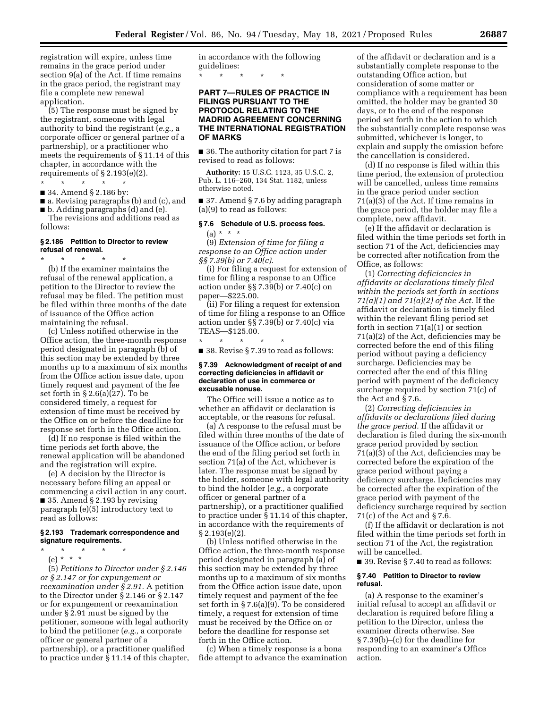registration will expire, unless time remains in the grace period under section 9(a) of the Act. If time remains in the grace period, the registrant may file a complete new renewal application.

(5) The response must be signed by the registrant, someone with legal authority to bind the registrant (*e.g.,* a corporate officer or general partner of a partnership), or a practitioner who meets the requirements of § 11.14 of this chapter, in accordance with the requirements of  $\S 2.193(e)(2)$ .

\* \* \* \* \*

\* \* \* \* \*

■ 34. Amend § 2.186 by:

■ a. Revising paragraphs (b) and (c), and ■ b. Adding paragraphs (d) and (e).

The revisions and additions read as follows:

### **§ 2.186 Petition to Director to review refusal of renewal.**

(b) If the examiner maintains the refusal of the renewal application, a petition to the Director to review the refusal may be filed. The petition must be filed within three months of the date of issuance of the Office action maintaining the refusal.

(c) Unless notified otherwise in the Office action, the three-month response period designated in paragraph (b) of this section may be extended by three months up to a maximum of six months from the Office action issue date, upon timely request and payment of the fee set forth in § 2.6(a)(27). To be considered timely, a request for extension of time must be received by the Office on or before the deadline for response set forth in the Office action.

(d) If no response is filed within the time periods set forth above, the renewal application will be abandoned and the registration will expire.

(e) A decision by the Director is necessary before filing an appeal or commencing a civil action in any court. ■ 35. Amend § 2.193 by revising paragraph (e)(5) introductory text to read as follows:

#### **§ 2.193 Trademark correspondence and signature requirements.**

\* \* \* \* \*

(e) \* \* \*

(5) *Petitions to Director under § 2.146 or § 2.147 or for expungement or reexamination under § 2.91.* A petition to the Director under § 2.146 or § 2.147 or for expungement or reexamination under § 2.91 must be signed by the petitioner, someone with legal authority to bind the petitioner (*e.g.,* a corporate officer or general partner of a partnership), or a practitioner qualified to practice under § 11.14 of this chapter, in accordance with the following guidelines:

\* \* \* \* \*

## **PART 7—RULES OF PRACTICE IN FILINGS PURSUANT TO THE PROTOCOL RELATING TO THE MADRID AGREEMENT CONCERNING THE INTERNATIONAL REGISTRATION OF MARKS**

■ 36. The authority citation for part 7 is revised to read as follows:

**Authority:** 15 U.S.C. 1123, 35 U.S.C. 2, Pub. L. 116–260, 134 Stat. 1182, unless otherwise noted.

■ 37. Amend § 7.6 by adding paragraph (a)(9) to read as follows:

### **§ 7.6 Schedule of U.S. process fees.**   $(a) * * * *$

(9) *Extension of time for filing a response to an Office action under §§ 7.39(b) or 7.40(c).* 

(i) For filing a request for extension of time for filing a response to an Office action under §§ 7.39(b) or 7.40(c) on paper—\$225.00.

(ii) For filing a request for extension of time for filing a response to an Office action under §§ 7.39(b) or 7.40(c) via TEAS—\$125.00.

\* \* \* \* \* ■ 38. Revise § 7.39 to read as follows:

#### **§ 7.39 Acknowledgment of receipt of and correcting deficiencies in affidavit or declaration of use in commerce or excusable nonuse.**

The Office will issue a notice as to whether an affidavit or declaration is acceptable, or the reasons for refusal.

(a) A response to the refusal must be filed within three months of the date of issuance of the Office action, or before the end of the filing period set forth in section 71(a) of the Act, whichever is later. The response must be signed by the holder, someone with legal authority to bind the holder (*e.g.,* a corporate officer or general partner of a partnership), or a practitioner qualified to practice under § 11.14 of this chapter, in accordance with the requirements of § 2.193(e)(2).

(b) Unless notified otherwise in the Office action, the three-month response period designated in paragraph (a) of this section may be extended by three months up to a maximum of six months from the Office action issue date, upon timely request and payment of the fee set forth in § 7.6(a)(9). To be considered timely, a request for extension of time must be received by the Office on or before the deadline for response set forth in the Office action.

(c) When a timely response is a bona fide attempt to advance the examination

of the affidavit or declaration and is a substantially complete response to the outstanding Office action, but consideration of some matter or compliance with a requirement has been omitted, the holder may be granted 30 days, or to the end of the response period set forth in the action to which the substantially complete response was submitted, whichever is longer, to explain and supply the omission before the cancellation is considered.

(d) If no response is filed within this time period, the extension of protection will be cancelled, unless time remains in the grace period under section 71(a)(3) of the Act. If time remains in the grace period, the holder may file a complete, new affidavit.

(e) If the affidavit or declaration is filed within the time periods set forth in section 71 of the Act, deficiencies may be corrected after notification from the Office, as follows:

(1) *Correcting deficiencies in affidavits or declarations timely filed within the periods set forth in sections 71(a)(1) and 71(a)(2) of the Act.* If the affidavit or declaration is timely filed within the relevant filing period set forth in section 71(a)(1) or section 71(a)(2) of the Act, deficiencies may be corrected before the end of this filing period without paying a deficiency surcharge. Deficiencies may be corrected after the end of this filing period with payment of the deficiency surcharge required by section 71(c) of the Act and § 7.6.

(2) *Correcting deficiencies in affidavits or declarations filed during the grace period.* If the affidavit or declaration is filed during the six-month grace period provided by section  $71(a)(3)$  of the Act, deficiencies may be corrected before the expiration of the grace period without paying a deficiency surcharge. Deficiencies may be corrected after the expiration of the grace period with payment of the deficiency surcharge required by section 71(c) of the Act and § 7.6.

(f) If the affidavit or declaration is not filed within the time periods set forth in section 71 of the Act, the registration will be cancelled.

■ 39. Revise § 7.40 to read as follows:

#### **§ 7.40 Petition to Director to review refusal.**

(a) A response to the examiner's initial refusal to accept an affidavit or declaration is required before filing a petition to the Director, unless the examiner directs otherwise. See § 7.39(b)–(c) for the deadline for responding to an examiner's Office action.